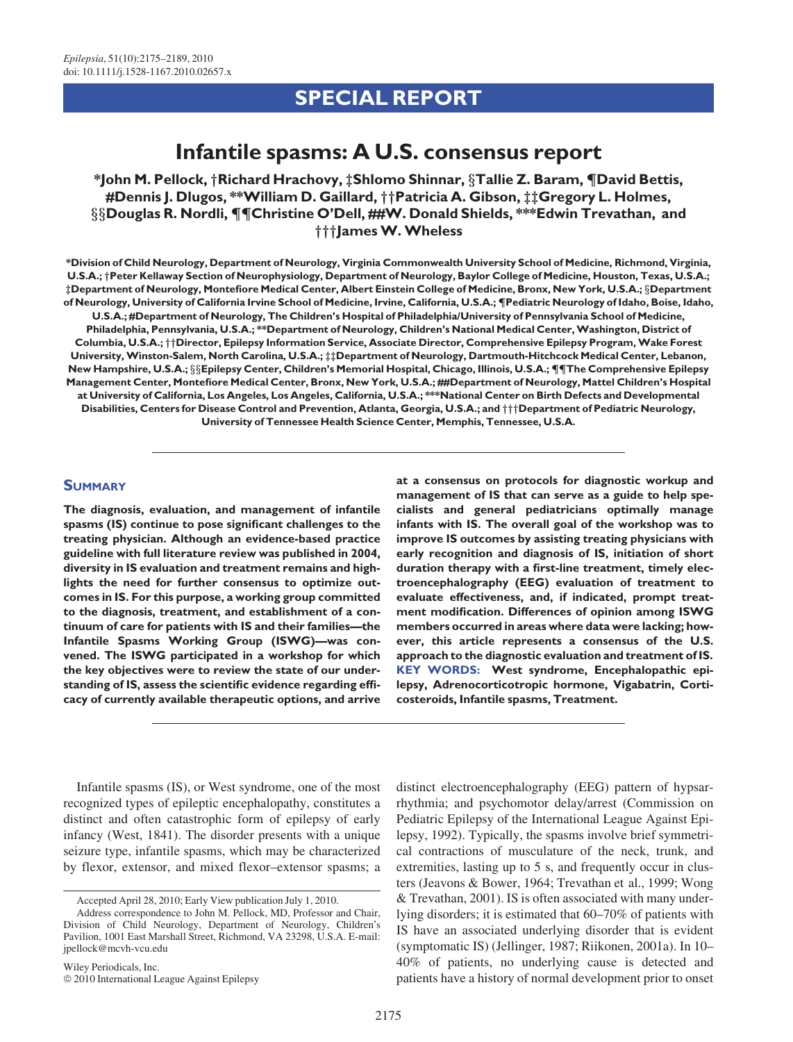# SPECIAL REPORT

# Infantile spasms: A U.S. consensus report

\*John M. Pellock, †Richard Hrachovy, ‡Shlomo Shinnar, §Tallie Z. Baram, ¶David Bettis, #Dennis J. Dlugos, \*\*William D. Gaillard, ††Patricia A. Gibson, ‡‡Gregory L. Holmes,  $\S\$ Douglas R. Nordli,  $\P$  Christine O'Dell, ##W. Donald Shields, \*\*\*Edwin Trevathan, and tttlames W. Wheless

\*Division of Child Neurology, Department of Neurology, Virginia Commonwealth University School of Medicine, Richmond, Virginia, U.S.A.; †Peter Kellaway Section of Neurophysiology, Department of Neurology, Baylor College of Medicine, Houston, Texas, U.S.A.; zDepartment of Neurology, Montefiore Medical Center, Albert Einstein College of Medicine, Bronx, New York, U.S.A.; xDepartment of Neurology, University of California Irvine School of Medicine, Irvine, California, U.S.A.; {Pediatric Neurology of Idaho, Boise, Idaho, U.S.A.; #Department of Neurology, The Children's Hospital of Philadelphia/University of Pennsylvania School of Medicine, Philadelphia, Pennsylvania, U.S.A.; \*\*Department of Neurology, Children's National Medical Center, Washington, District of Columbia, U.S.A.; ††Director, Epilepsy Information Service, Associate Director, Comprehensive Epilepsy Program, Wake Forest University, Winston-Salem, North Carolina, U.S.A.; ##Department of Neurology, Dartmouth-Hitchcock Medical Center, Lebanon, New Hampshire, U.S.A.; §§Epilepsy Center, Children's Memorial Hospital, Chicago, Illinois, U.S.A.; ¶¶The Comprehensive Epilepsy Management Center, Montefiore Medical Center, Bronx, New York, U.S.A.; ##Department of Neurology, Mattel Children's Hospital at University of California, Los Angeles, Los Angeles, California, U.S.A.; \*\*\*National Center on Birth Defects and Developmental Disabilities, Centers for Disease Control and Prevention, Atlanta, Georgia, U.S.A.; and  $\dagger \dagger \dagger$ Department of Pediatric Neurology, University of Tennessee Health Science Center, Memphis, Tennessee, U.S.A.

## **SUMMARY**

The diagnosis, evaluation, and management of infantile spasms (IS) continue to pose significant challenges to the treating physician. Although an evidence-based practice guideline with full literature review was published in 2004, diversity in IS evaluation and treatment remains and highlights the need for further consensus to optimize outcomes in IS. For this purpose, a working group committed to the diagnosis, treatment, and establishment of a continuum of care for patients with IS and their families—the Infantile Spasms Working Group (ISWG)—was convened. The ISWG participated in a workshop for which the key objectives were to review the state of our understanding of IS, assess the scientific evidence regarding efficacy of currently available therapeutic options, and arrive

at a consensus on protocols for diagnostic workup and management of IS that can serve as a guide to help specialists and general pediatricians optimally manage infants with IS. The overall goal of the workshop was to improve IS outcomes by assisting treating physicians with early recognition and diagnosis of IS, initiation of short duration therapy with a first-line treatment, timely electroencephalography (EEG) evaluation of treatment to evaluate effectiveness, and, if indicated, prompt treatment modification. Differences of opinion among ISWG members occurred in areas where data were lacking; however, this article represents a consensus of the U.S. approach to the diagnostic evaluation and treatment of IS. KEY WORDS: West syndrome, Encephalopathic epilepsy, Adrenocorticotropic hormone, Vigabatrin, Corticosteroids, Infantile spasms, Treatment.

Infantile spasms (IS), or West syndrome, one of the most recognized types of epileptic encephalopathy, constitutes a distinct and often catastrophic form of epilepsy of early infancy (West, 1841). The disorder presents with a unique seizure type, infantile spasms, which may be characterized by flexor, extensor, and mixed flexor–extensor spasms; a

Wiley Periodicals, Inc. © 2010 International League Against Epilepsy distinct electroencephalography (EEG) pattern of hypsarrhythmia; and psychomotor delay/arrest (Commission on Pediatric Epilepsy of the International League Against Epilepsy, 1992). Typically, the spasms involve brief symmetrical contractions of musculature of the neck, trunk, and extremities, lasting up to 5 s, and frequently occur in clusters (Jeavons & Bower, 1964; Trevathan et al., 1999; Wong & Trevathan, 2001). IS is often associated with many underlying disorders; it is estimated that 60–70% of patients with IS have an associated underlying disorder that is evident (symptomatic IS) (Jellinger, 1987; Riikonen, 2001a). In 10– 40% of patients, no underlying cause is detected and patients have a history of normal development prior to onset

Accepted April 28, 2010; Early View publication July 1, 2010.

Address correspondence to John M. Pellock, MD, Professor and Chair, Division of Child Neurology, Department of Neurology, Children's Pavilion, 1001 East Marshall Street, Richmond, VA 23298, U.S.A. E-mail: jpellock@mcvh-vcu.edu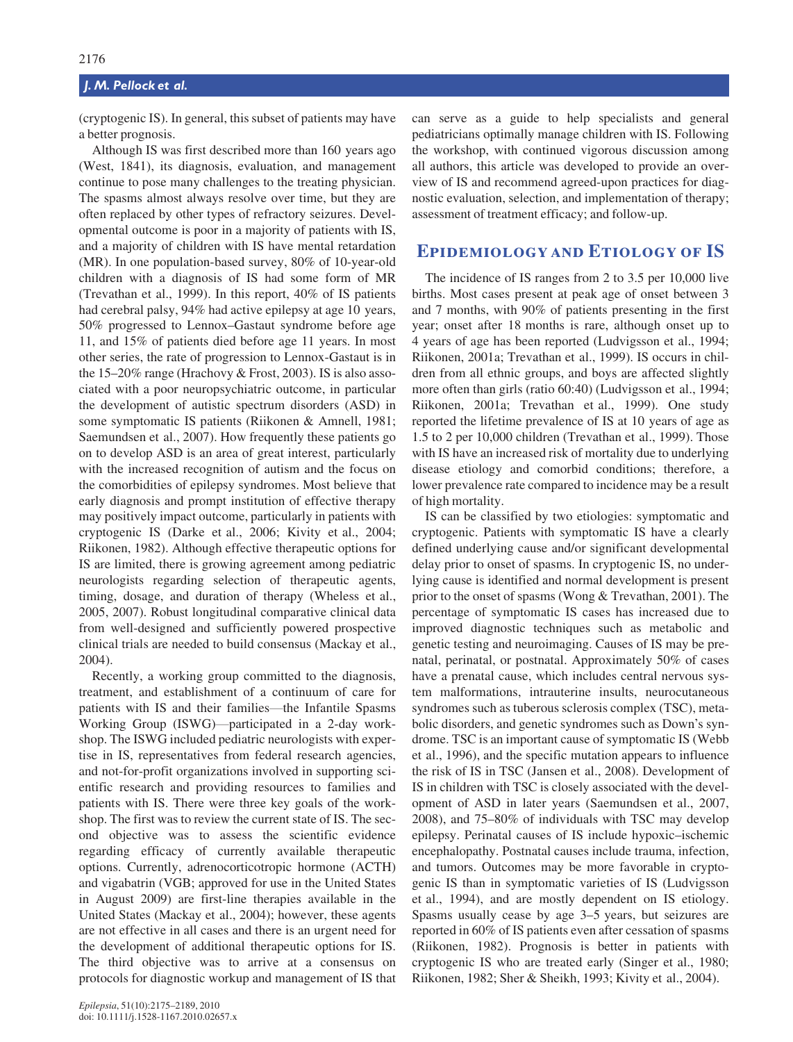(cryptogenic IS). In general, this subset of patients may have a better prognosis.

Although IS was first described more than 160 years ago (West, 1841), its diagnosis, evaluation, and management continue to pose many challenges to the treating physician. The spasms almost always resolve over time, but they are often replaced by other types of refractory seizures. Developmental outcome is poor in a majority of patients with IS, and a majority of children with IS have mental retardation (MR). In one population-based survey, 80% of 10-year-old children with a diagnosis of IS had some form of MR (Trevathan et al., 1999). In this report, 40% of IS patients had cerebral palsy, 94% had active epilepsy at age 10 years, 50% progressed to Lennox–Gastaut syndrome before age 11, and 15% of patients died before age 11 years. In most other series, the rate of progression to Lennox-Gastaut is in the 15–20% range (Hrachovy & Frost, 2003). IS is also associated with a poor neuropsychiatric outcome, in particular the development of autistic spectrum disorders (ASD) in some symptomatic IS patients (Riikonen & Amnell, 1981; Saemundsen et al., 2007). How frequently these patients go on to develop ASD is an area of great interest, particularly with the increased recognition of autism and the focus on the comorbidities of epilepsy syndromes. Most believe that early diagnosis and prompt institution of effective therapy may positively impact outcome, particularly in patients with cryptogenic IS (Darke et al., 2006; Kivity et al., 2004; Riikonen, 1982). Although effective therapeutic options for IS are limited, there is growing agreement among pediatric neurologists regarding selection of therapeutic agents, timing, dosage, and duration of therapy (Wheless et al., 2005, 2007). Robust longitudinal comparative clinical data from well-designed and sufficiently powered prospective clinical trials are needed to build consensus (Mackay et al., 2004).

Recently, a working group committed to the diagnosis, treatment, and establishment of a continuum of care for patients with IS and their families—the Infantile Spasms Working Group (ISWG)—participated in a 2-day workshop. The ISWG included pediatric neurologists with expertise in IS, representatives from federal research agencies, and not-for-profit organizations involved in supporting scientific research and providing resources to families and patients with IS. There were three key goals of the workshop. The first was to review the current state of IS. The second objective was to assess the scientific evidence regarding efficacy of currently available therapeutic options. Currently, adrenocorticotropic hormone (ACTH) and vigabatrin (VGB; approved for use in the United States in August 2009) are first-line therapies available in the United States (Mackay et al., 2004); however, these agents are not effective in all cases and there is an urgent need for the development of additional therapeutic options for IS. The third objective was to arrive at a consensus on protocols for diagnostic workup and management of IS that can serve as a guide to help specialists and general pediatricians optimally manage children with IS. Following the workshop, with continued vigorous discussion among all authors, this article was developed to provide an overview of IS and recommend agreed-upon practices for diagnostic evaluation, selection, and implementation of therapy; assessment of treatment efficacy; and follow-up.

## Epidemiology and Etiology of IS

The incidence of IS ranges from 2 to 3.5 per 10,000 live births. Most cases present at peak age of onset between 3 and 7 months, with 90% of patients presenting in the first year; onset after 18 months is rare, although onset up to 4 years of age has been reported (Ludvigsson et al., 1994; Riikonen, 2001a; Trevathan et al., 1999). IS occurs in children from all ethnic groups, and boys are affected slightly more often than girls (ratio 60:40) (Ludvigsson et al., 1994; Riikonen, 2001a; Trevathan et al., 1999). One study reported the lifetime prevalence of IS at 10 years of age as 1.5 to 2 per 10,000 children (Trevathan et al., 1999). Those with IS have an increased risk of mortality due to underlying disease etiology and comorbid conditions; therefore, a lower prevalence rate compared to incidence may be a result of high mortality.

IS can be classified by two etiologies: symptomatic and cryptogenic. Patients with symptomatic IS have a clearly defined underlying cause and/or significant developmental delay prior to onset of spasms. In cryptogenic IS, no underlying cause is identified and normal development is present prior to the onset of spasms (Wong & Trevathan, 2001). The percentage of symptomatic IS cases has increased due to improved diagnostic techniques such as metabolic and genetic testing and neuroimaging. Causes of IS may be prenatal, perinatal, or postnatal. Approximately 50% of cases have a prenatal cause, which includes central nervous system malformations, intrauterine insults, neurocutaneous syndromes such as tuberous sclerosis complex (TSC), metabolic disorders, and genetic syndromes such as Down's syndrome. TSC is an important cause of symptomatic IS (Webb et al., 1996), and the specific mutation appears to influence the risk of IS in TSC (Jansen et al., 2008). Development of IS in children with TSC is closely associated with the development of ASD in later years (Saemundsen et al., 2007, 2008), and 75–80% of individuals with TSC may develop epilepsy. Perinatal causes of IS include hypoxic–ischemic encephalopathy. Postnatal causes include trauma, infection, and tumors. Outcomes may be more favorable in cryptogenic IS than in symptomatic varieties of IS (Ludvigsson et al., 1994), and are mostly dependent on IS etiology. Spasms usually cease by age 3–5 years, but seizures are reported in 60% of IS patients even after cessation of spasms (Riikonen, 1982). Prognosis is better in patients with cryptogenic IS who are treated early (Singer et al., 1980; Riikonen, 1982; Sher & Sheikh, 1993; Kivity et al., 2004).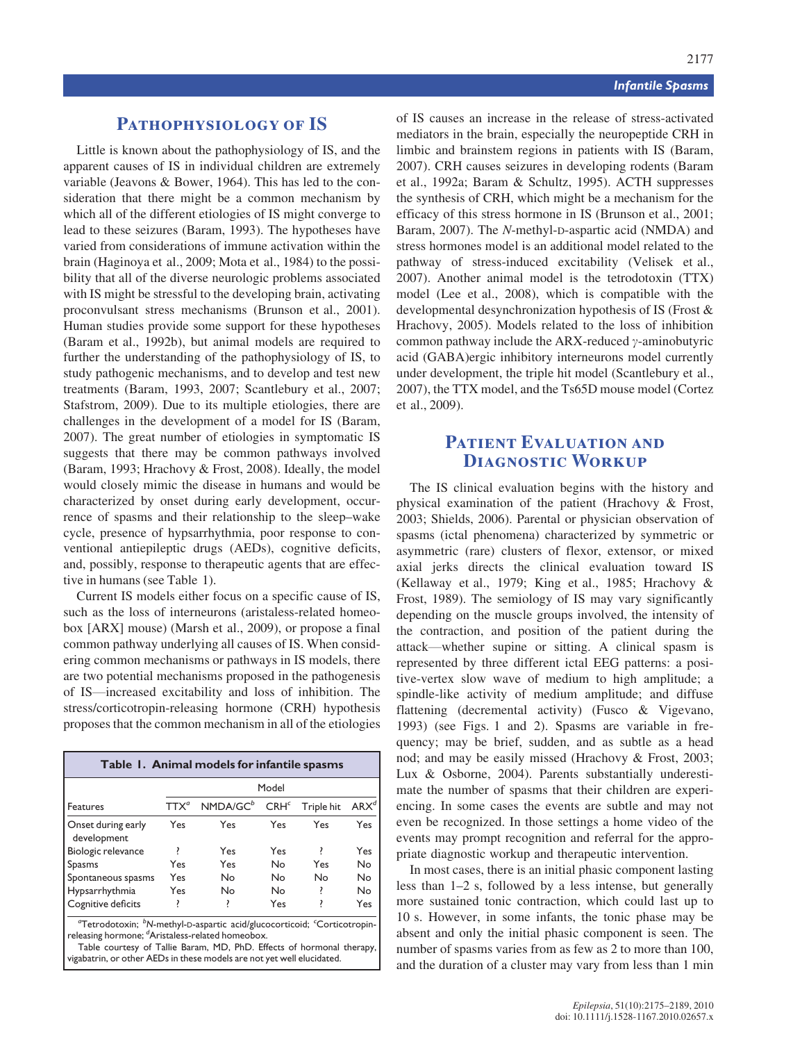# PATHOPHYSIOLOGY OF IS

Little is known about the pathophysiology of IS, and the apparent causes of IS in individual children are extremely variable (Jeavons & Bower, 1964). This has led to the consideration that there might be a common mechanism by which all of the different etiologies of IS might converge to lead to these seizures (Baram, 1993). The hypotheses have varied from considerations of immune activation within the brain (Haginoya et al., 2009; Mota et al., 1984) to the possibility that all of the diverse neurologic problems associated with IS might be stressful to the developing brain, activating proconvulsant stress mechanisms (Brunson et al., 2001). Human studies provide some support for these hypotheses (Baram et al., 1992b), but animal models are required to further the understanding of the pathophysiology of IS, to study pathogenic mechanisms, and to develop and test new treatments (Baram, 1993, 2007; Scantlebury et al., 2007; Stafstrom, 2009). Due to its multiple etiologies, there are challenges in the development of a model for IS (Baram, 2007). The great number of etiologies in symptomatic IS suggests that there may be common pathways involved (Baram, 1993; Hrachovy & Frost, 2008). Ideally, the model would closely mimic the disease in humans and would be characterized by onset during early development, occurrence of spasms and their relationship to the sleep–wake cycle, presence of hypsarrhythmia, poor response to conventional antiepileptic drugs (AEDs), cognitive deficits, and, possibly, response to therapeutic agents that are effective in humans (see Table 1).

Current IS models either focus on a specific cause of IS, such as the loss of interneurons (aristaless-related homeobox [ARX] mouse) (Marsh et al., 2009), or propose a final common pathway underlying all causes of IS. When considering common mechanisms or pathways in IS models, there are two potential mechanisms proposed in the pathogenesis of IS—increased excitability and loss of inhibition. The stress/corticotropin-releasing hormone (CRH) hypothesis proposes that the common mechanism in all of the etiologies

| Table 1. Animal models for infantile spasms |         |             |                  |            |         |  |  |  |
|---------------------------------------------|---------|-------------|------------------|------------|---------|--|--|--|
|                                             | Model   |             |                  |            |         |  |  |  |
| Features                                    | $TTX^a$ | $NMDA/GC^b$ | CRH <sup>c</sup> | Triple hit | $ARX^d$ |  |  |  |
| Onset during early<br>development           | Yes     | Yes         | Yes              | Yes        | Yes     |  |  |  |
| Biologic relevance                          |         | Yes         | Yes              | ,          | Yes     |  |  |  |
| Spasms                                      | Yes     | Yes         | No               | Yes        | No      |  |  |  |
| Spontaneous spasms                          | Yes     | No          | No               | No         | No      |  |  |  |
| Hypsarrhythmia                              | Yes     | No          | No               |            | No      |  |  |  |
| Cognitive deficits                          |         |             | Yes              |            | Yes     |  |  |  |

 $^a$ Tetrodotoxin;  $^b$ N-methyl-D-aspartic acid/glucocorticoid;  $^c$ Corticotropinreleasing hormone; <sup>d</sup>Aristaless-related homeobox.

Table courtesy of Tallie Baram, MD, PhD. Effects of hormonal therapy, vigabatrin, or other AEDs in these models are not yet well elucidated.

of IS causes an increase in the release of stress-activated mediators in the brain, especially the neuropeptide CRH in limbic and brainstem regions in patients with IS (Baram, 2007). CRH causes seizures in developing rodents (Baram et al., 1992a; Baram & Schultz, 1995). ACTH suppresses the synthesis of CRH, which might be a mechanism for the efficacy of this stress hormone in IS (Brunson et al., 2001; Baram, 2007). The N-methyl-D-aspartic acid (NMDA) and stress hormones model is an additional model related to the pathway of stress-induced excitability (Velisek et al., 2007). Another animal model is the tetrodotoxin (TTX) model (Lee et al., 2008), which is compatible with the developmental desynchronization hypothesis of IS (Frost & Hrachovy, 2005). Models related to the loss of inhibition common pathway include the ARX-reduced  $\gamma$ -aminobutyric acid (GABA)ergic inhibitory interneurons model currently under development, the triple hit model (Scantlebury et al., 2007), the TTX model, and the Ts65D mouse model (Cortez et al., 2009).

# PATIENT EVALUATION AND Diagnostic Workup

The IS clinical evaluation begins with the history and physical examination of the patient (Hrachovy & Frost, 2003; Shields, 2006). Parental or physician observation of spasms (ictal phenomena) characterized by symmetric or asymmetric (rare) clusters of flexor, extensor, or mixed axial jerks directs the clinical evaluation toward IS (Kellaway et al., 1979; King et al., 1985; Hrachovy & Frost, 1989). The semiology of IS may vary significantly depending on the muscle groups involved, the intensity of the contraction, and position of the patient during the attack—whether supine or sitting. A clinical spasm is represented by three different ictal EEG patterns: a positive-vertex slow wave of medium to high amplitude; a spindle-like activity of medium amplitude; and diffuse flattening (decremental activity) (Fusco & Vigevano, 1993) (see Figs. 1 and 2). Spasms are variable in frequency; may be brief, sudden, and as subtle as a head nod; and may be easily missed (Hrachovy & Frost, 2003; Lux & Osborne, 2004). Parents substantially underestimate the number of spasms that their children are experiencing. In some cases the events are subtle and may not even be recognized. In those settings a home video of the events may prompt recognition and referral for the appropriate diagnostic workup and therapeutic intervention.

In most cases, there is an initial phasic component lasting less than 1–2 s, followed by a less intense, but generally more sustained tonic contraction, which could last up to 10 s. However, in some infants, the tonic phase may be absent and only the initial phasic component is seen. The number of spasms varies from as few as 2 to more than 100, and the duration of a cluster may vary from less than 1 min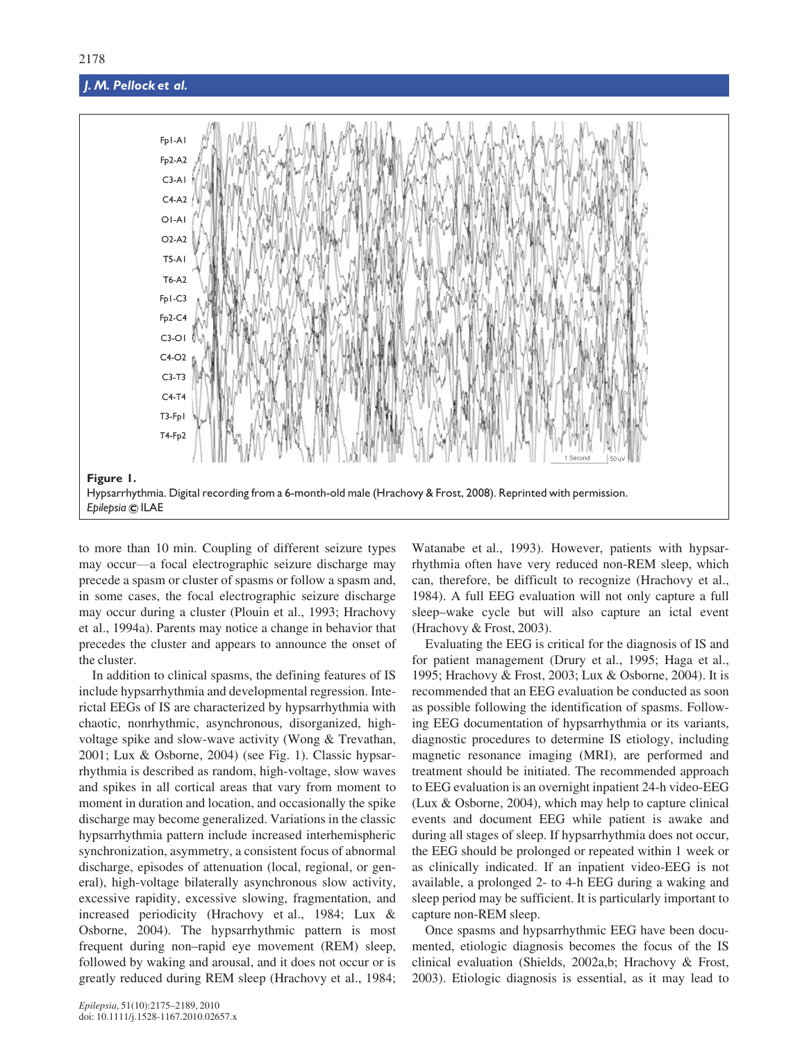

to more than 10 min. Coupling of different seizure types may occur—a focal electrographic seizure discharge may precede a spasm or cluster of spasms or follow a spasm and, in some cases, the focal electrographic seizure discharge may occur during a cluster (Plouin et al., 1993; Hrachovy et al., 1994a). Parents may notice a change in behavior that precedes the cluster and appears to announce the onset of the cluster.

In addition to clinical spasms, the defining features of IS include hypsarrhythmia and developmental regression. Interictal EEGs of IS are characterized by hypsarrhythmia with chaotic, nonrhythmic, asynchronous, disorganized, highvoltage spike and slow-wave activity (Wong & Trevathan, 2001; Lux & Osborne, 2004) (see Fig. 1). Classic hypsarrhythmia is described as random, high-voltage, slow waves and spikes in all cortical areas that vary from moment to moment in duration and location, and occasionally the spike discharge may become generalized. Variations in the classic hypsarrhythmia pattern include increased interhemispheric synchronization, asymmetry, a consistent focus of abnormal discharge, episodes of attenuation (local, regional, or general), high-voltage bilaterally asynchronous slow activity, excessive rapidity, excessive slowing, fragmentation, and increased periodicity (Hrachovy et al., 1984; Lux & Osborne, 2004). The hypsarrhythmic pattern is most frequent during non–rapid eye movement (REM) sleep, followed by waking and arousal, and it does not occur or is greatly reduced during REM sleep (Hrachovy et al., 1984;

Epilepsia, 51(10):2175–2189, 2010 doi: 10.1111/j.1528-1167.2010.02657.x

Watanabe et al., 1993). However, patients with hypsarrhythmia often have very reduced non-REM sleep, which can, therefore, be difficult to recognize (Hrachovy et al., 1984). A full EEG evaluation will not only capture a full sleep–wake cycle but will also capture an ictal event (Hrachovy & Frost, 2003).

Evaluating the EEG is critical for the diagnosis of IS and for patient management (Drury et al., 1995; Haga et al., 1995; Hrachovy & Frost, 2003; Lux & Osborne, 2004). It is recommended that an EEG evaluation be conducted as soon as possible following the identification of spasms. Following EEG documentation of hypsarrhythmia or its variants, diagnostic procedures to determine IS etiology, including magnetic resonance imaging (MRI), are performed and treatment should be initiated. The recommended approach to EEG evaluation is an overnight inpatient 24-h video-EEG (Lux & Osborne, 2004), which may help to capture clinical events and document EEG while patient is awake and during all stages of sleep. If hypsarrhythmia does not occur, the EEG should be prolonged or repeated within 1 week or as clinically indicated. If an inpatient video-EEG is not available, a prolonged 2- to 4-h EEG during a waking and sleep period may be sufficient. It is particularly important to capture non-REM sleep.

Once spasms and hypsarrhythmic EEG have been documented, etiologic diagnosis becomes the focus of the IS clinical evaluation (Shields, 2002a,b; Hrachovy & Frost, 2003). Etiologic diagnosis is essential, as it may lead to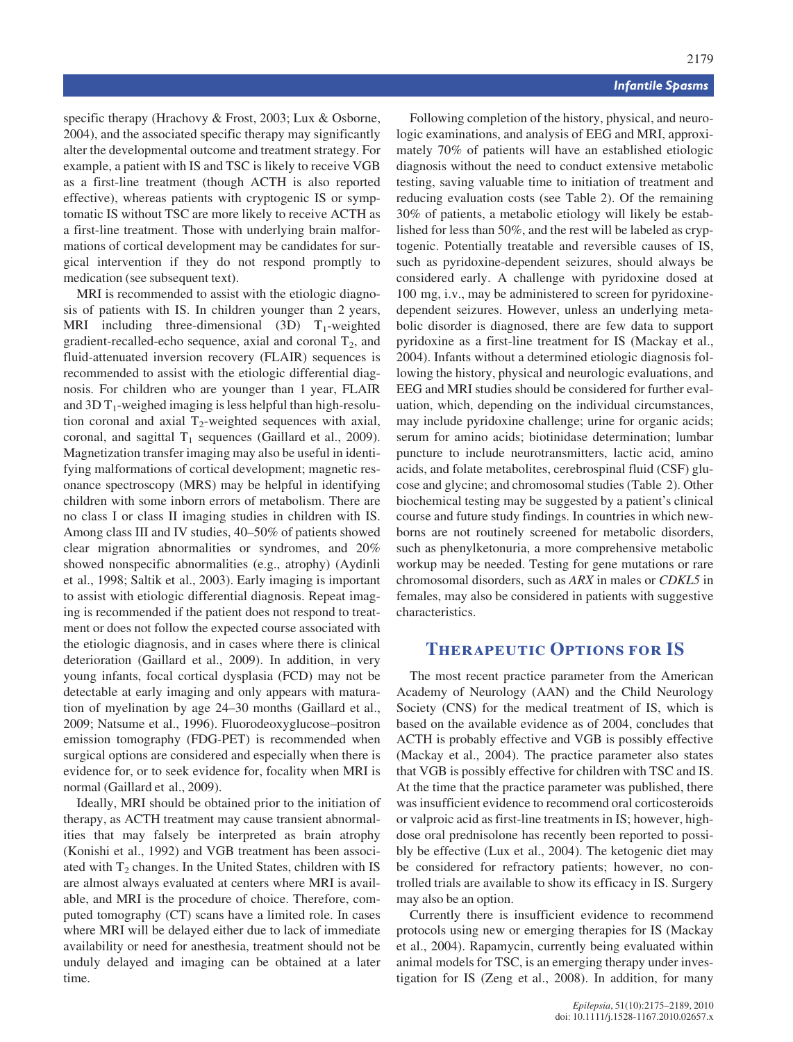specific therapy (Hrachovy & Frost, 2003; Lux & Osborne, 2004), and the associated specific therapy may significantly alter the developmental outcome and treatment strategy. For example, a patient with IS and TSC is likely to receive VGB as a first-line treatment (though ACTH is also reported effective), whereas patients with cryptogenic IS or symptomatic IS without TSC are more likely to receive ACTH as a first-line treatment. Those with underlying brain malformations of cortical development may be candidates for surgical intervention if they do not respond promptly to medication (see subsequent text).

MRI is recommended to assist with the etiologic diagnosis of patients with IS. In children younger than 2 years, MRI including three-dimensional (3D)  $T_1$ -weighted gradient-recalled-echo sequence, axial and coronal  $T_2$ , and fluid-attenuated inversion recovery (FLAIR) sequences is recommended to assist with the etiologic differential diagnosis. For children who are younger than 1 year, FLAIR and 3D  $T_1$ -weighed imaging is less helpful than high-resolution coronal and axial  $T_2$ -weighted sequences with axial, coronal, and sagittal  $T_1$  sequences (Gaillard et al., 2009). Magnetization transfer imaging may also be useful in identifying malformations of cortical development; magnetic resonance spectroscopy (MRS) may be helpful in identifying children with some inborn errors of metabolism. There are no class I or class II imaging studies in children with IS. Among class III and IV studies, 40–50% of patients showed clear migration abnormalities or syndromes, and 20% showed nonspecific abnormalities (e.g., atrophy) (Aydinli et al., 1998; Saltik et al., 2003). Early imaging is important to assist with etiologic differential diagnosis. Repeat imaging is recommended if the patient does not respond to treatment or does not follow the expected course associated with the etiologic diagnosis, and in cases where there is clinical deterioration (Gaillard et al., 2009). In addition, in very young infants, focal cortical dysplasia (FCD) may not be detectable at early imaging and only appears with maturation of myelination by age 24–30 months (Gaillard et al., 2009; Natsume et al., 1996). Fluorodeoxyglucose–positron emission tomography (FDG-PET) is recommended when surgical options are considered and especially when there is evidence for, or to seek evidence for, focality when MRI is normal (Gaillard et al., 2009).

Ideally, MRI should be obtained prior to the initiation of therapy, as ACTH treatment may cause transient abnormalities that may falsely be interpreted as brain atrophy (Konishi et al., 1992) and VGB treatment has been associated with  $T_2$  changes. In the United States, children with IS are almost always evaluated at centers where MRI is available, and MRI is the procedure of choice. Therefore, computed tomography (CT) scans have a limited role. In cases where MRI will be delayed either due to lack of immediate availability or need for anesthesia, treatment should not be unduly delayed and imaging can be obtained at a later time.

Following completion of the history, physical, and neurologic examinations, and analysis of EEG and MRI, approximately 70% of patients will have an established etiologic diagnosis without the need to conduct extensive metabolic testing, saving valuable time to initiation of treatment and reducing evaluation costs (see Table 2). Of the remaining 30% of patients, a metabolic etiology will likely be established for less than 50%, and the rest will be labeled as cryptogenic. Potentially treatable and reversible causes of IS, such as pyridoxine-dependent seizures, should always be considered early. A challenge with pyridoxine dosed at 100 mg, i.v., may be administered to screen for pyridoxinedependent seizures. However, unless an underlying metabolic disorder is diagnosed, there are few data to support pyridoxine as a first-line treatment for IS (Mackay et al., 2004). Infants without a determined etiologic diagnosis following the history, physical and neurologic evaluations, and EEG and MRI studies should be considered for further evaluation, which, depending on the individual circumstances, may include pyridoxine challenge; urine for organic acids; serum for amino acids; biotinidase determination; lumbar puncture to include neurotransmitters, lactic acid, amino acids, and folate metabolites, cerebrospinal fluid (CSF) glucose and glycine; and chromosomal studies (Table 2). Other biochemical testing may be suggested by a patient's clinical course and future study findings. In countries in which newborns are not routinely screened for metabolic disorders, such as phenylketonuria, a more comprehensive metabolic workup may be needed. Testing for gene mutations or rare chromosomal disorders, such as ARX in males or CDKL5 in females, may also be considered in patients with suggestive characteristics.

# Therapeutic Options for IS

The most recent practice parameter from the American Academy of Neurology (AAN) and the Child Neurology Society (CNS) for the medical treatment of IS, which is based on the available evidence as of 2004, concludes that ACTH is probably effective and VGB is possibly effective (Mackay et al., 2004). The practice parameter also states that VGB is possibly effective for children with TSC and IS. At the time that the practice parameter was published, there was insufficient evidence to recommend oral corticosteroids or valproic acid as first-line treatments in IS; however, highdose oral prednisolone has recently been reported to possibly be effective (Lux et al., 2004). The ketogenic diet may be considered for refractory patients; however, no controlled trials are available to show its efficacy in IS. Surgery may also be an option.

Currently there is insufficient evidence to recommend protocols using new or emerging therapies for IS (Mackay et al., 2004). Rapamycin, currently being evaluated within animal models for TSC, is an emerging therapy under investigation for IS (Zeng et al., 2008). In addition, for many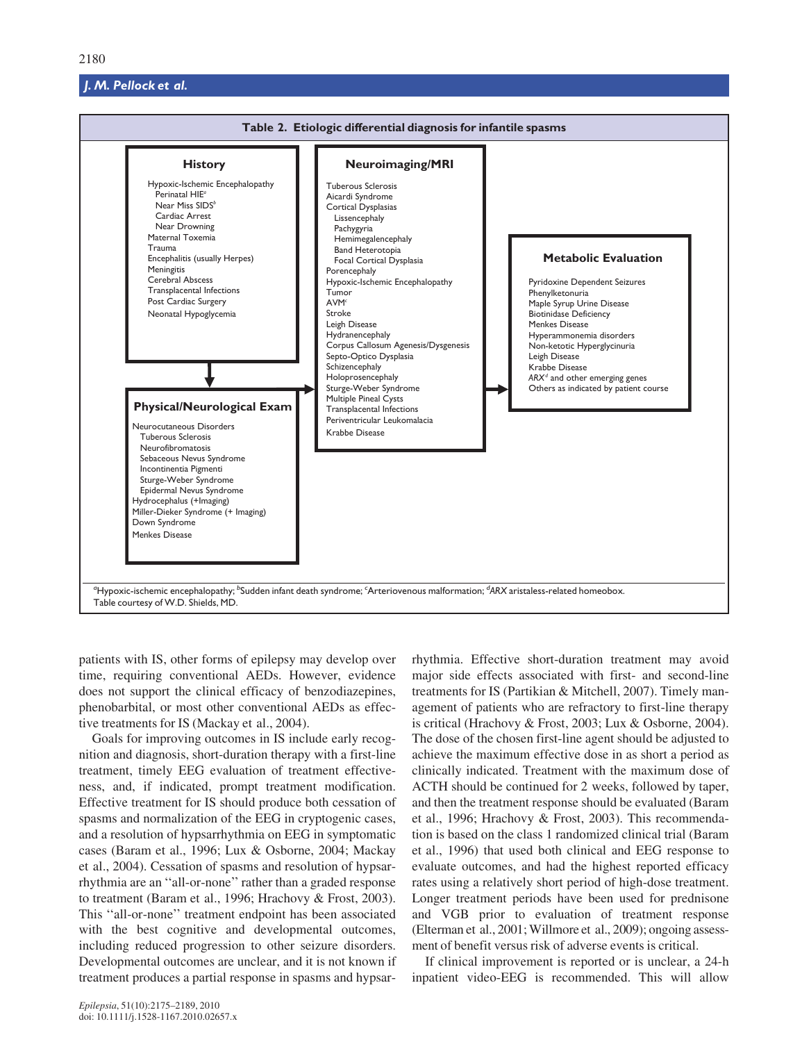

patients with IS, other forms of epilepsy may develop over time, requiring conventional AEDs. However, evidence does not support the clinical efficacy of benzodiazepines, phenobarbital, or most other conventional AEDs as effective treatments for IS (Mackay et al., 2004).

Goals for improving outcomes in IS include early recognition and diagnosis, short-duration therapy with a first-line treatment, timely EEG evaluation of treatment effectiveness, and, if indicated, prompt treatment modification. Effective treatment for IS should produce both cessation of spasms and normalization of the EEG in cryptogenic cases, and a resolution of hypsarrhythmia on EEG in symptomatic cases (Baram et al., 1996; Lux & Osborne, 2004; Mackay et al., 2004). Cessation of spasms and resolution of hypsarrhythmia are an ''all-or-none'' rather than a graded response to treatment (Baram et al., 1996; Hrachovy & Frost, 2003). This ''all-or-none'' treatment endpoint has been associated with the best cognitive and developmental outcomes, including reduced progression to other seizure disorders. Developmental outcomes are unclear, and it is not known if treatment produces a partial response in spasms and hypsarrhythmia. Effective short-duration treatment may avoid major side effects associated with first- and second-line treatments for IS (Partikian & Mitchell, 2007). Timely management of patients who are refractory to first-line therapy is critical (Hrachovy & Frost, 2003; Lux & Osborne, 2004). The dose of the chosen first-line agent should be adjusted to achieve the maximum effective dose in as short a period as clinically indicated. Treatment with the maximum dose of ACTH should be continued for 2 weeks, followed by taper, and then the treatment response should be evaluated (Baram et al., 1996; Hrachovy & Frost, 2003). This recommendation is based on the class 1 randomized clinical trial (Baram et al., 1996) that used both clinical and EEG response to evaluate outcomes, and had the highest reported efficacy rates using a relatively short period of high-dose treatment. Longer treatment periods have been used for prednisone and VGB prior to evaluation of treatment response (Elterman et al., 2001;Willmore et al., 2009); ongoing assessment of benefit versus risk of adverse events is critical.

If clinical improvement is reported or is unclear, a 24-h inpatient video-EEG is recommended. This will allow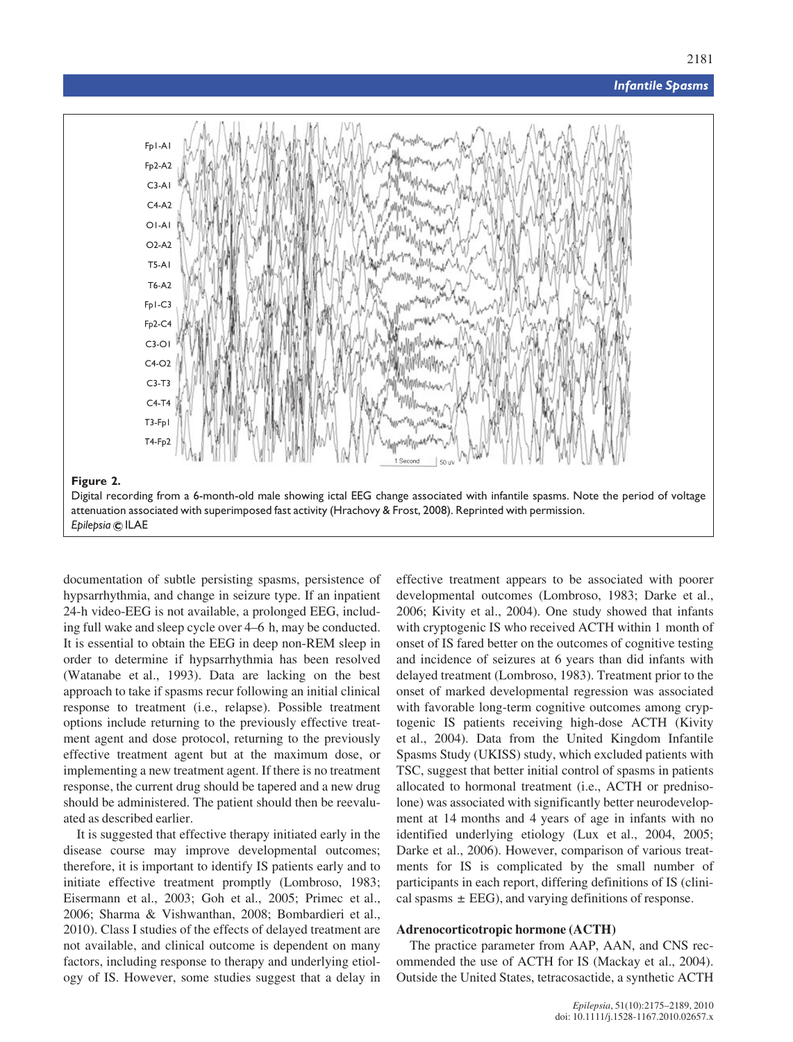2181



documentation of subtle persisting spasms, persistence of hypsarrhythmia, and change in seizure type. If an inpatient 24-h video-EEG is not available, a prolonged EEG, including full wake and sleep cycle over 4–6 h, may be conducted. It is essential to obtain the EEG in deep non-REM sleep in order to determine if hypsarrhythmia has been resolved (Watanabe et al., 1993). Data are lacking on the best approach to take if spasms recur following an initial clinical response to treatment (i.e., relapse). Possible treatment options include returning to the previously effective treatment agent and dose protocol, returning to the previously effective treatment agent but at the maximum dose, or implementing a new treatment agent. If there is no treatment response, the current drug should be tapered and a new drug should be administered. The patient should then be reevaluated as described earlier.

It is suggested that effective therapy initiated early in the disease course may improve developmental outcomes; therefore, it is important to identify IS patients early and to initiate effective treatment promptly (Lombroso, 1983; Eisermann et al., 2003; Goh et al., 2005; Primec et al., 2006; Sharma & Vishwanthan, 2008; Bombardieri et al., 2010). Class I studies of the effects of delayed treatment are not available, and clinical outcome is dependent on many factors, including response to therapy and underlying etiology of IS. However, some studies suggest that a delay in

effective treatment appears to be associated with poorer developmental outcomes (Lombroso, 1983; Darke et al., 2006; Kivity et al., 2004). One study showed that infants with cryptogenic IS who received ACTH within 1 month of onset of IS fared better on the outcomes of cognitive testing and incidence of seizures at 6 years than did infants with delayed treatment (Lombroso, 1983). Treatment prior to the onset of marked developmental regression was associated with favorable long-term cognitive outcomes among cryptogenic IS patients receiving high-dose ACTH (Kivity et al., 2004). Data from the United Kingdom Infantile Spasms Study (UKISS) study, which excluded patients with TSC, suggest that better initial control of spasms in patients allocated to hormonal treatment (i.e., ACTH or prednisolone) was associated with significantly better neurodevelopment at 14 months and 4 years of age in infants with no identified underlying etiology (Lux et al., 2004, 2005; Darke et al., 2006). However, comparison of various treatments for IS is complicated by the small number of participants in each report, differing definitions of IS (clinical spasms  $\pm$  EEG), and varying definitions of response.

#### Adrenocorticotropic hormone (ACTH)

The practice parameter from AAP, AAN, and CNS recommended the use of ACTH for IS (Mackay et al., 2004). Outside the United States, tetracosactide, a synthetic ACTH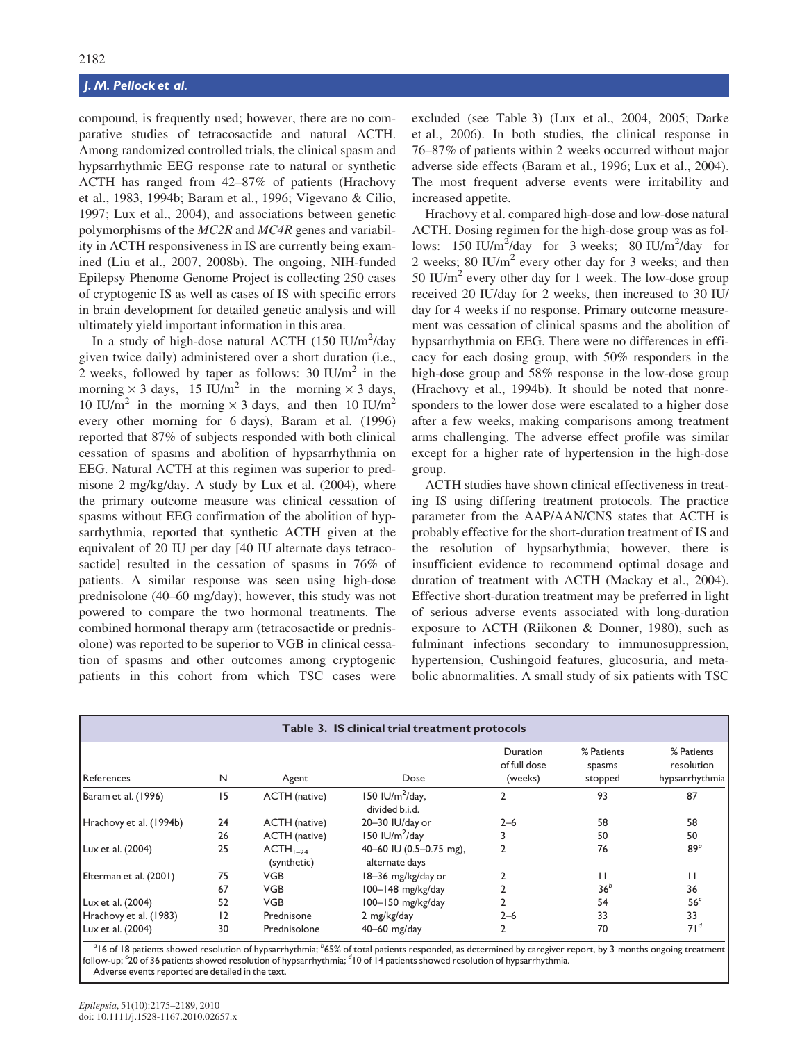compound, is frequently used; however, there are no comparative studies of tetracosactide and natural ACTH. Among randomized controlled trials, the clinical spasm and hypsarrhythmic EEG response rate to natural or synthetic ACTH has ranged from 42–87% of patients (Hrachovy et al., 1983, 1994b; Baram et al., 1996; Vigevano & Cilio, 1997; Lux et al., 2004), and associations between genetic polymorphisms of the MC2R and MC4R genes and variability in ACTH responsiveness in IS are currently being examined (Liu et al., 2007, 2008b). The ongoing, NIH-funded Epilepsy Phenome Genome Project is collecting 250 cases of cryptogenic IS as well as cases of IS with specific errors in brain development for detailed genetic analysis and will ultimately yield important information in this area.

In a study of high-dose natural ACTH (150 IU/m<sup>2</sup>/day given twice daily) administered over a short duration (i.e., 2 weeks, followed by taper as follows:  $30 \text{ IU/m}^2$  in the morning  $\times$  3 days, 15 IU/m<sup>2</sup> in the morning  $\times$  3 days, 10 IU/m<sup>2</sup> in the morning  $\times$  3 days, and then 10 IU/m<sup>2</sup> every other morning for 6 days), Baram et al. (1996) reported that 87% of subjects responded with both clinical cessation of spasms and abolition of hypsarrhythmia on EEG. Natural ACTH at this regimen was superior to prednisone 2 mg/kg/day. A study by Lux et al. (2004), where the primary outcome measure was clinical cessation of spasms without EEG confirmation of the abolition of hypsarrhythmia, reported that synthetic ACTH given at the equivalent of 20 IU per day [40 IU alternate days tetracosactide] resulted in the cessation of spasms in 76% of patients. A similar response was seen using high-dose prednisolone (40–60 mg/day); however, this study was not powered to compare the two hormonal treatments. The combined hormonal therapy arm (tetracosactide or prednisolone) was reported to be superior to VGB in clinical cessation of spasms and other outcomes among cryptogenic patients in this cohort from which TSC cases were excluded (see Table 3) (Lux et al., 2004, 2005; Darke et al., 2006). In both studies, the clinical response in 76–87% of patients within 2 weeks occurred without major adverse side effects (Baram et al., 1996; Lux et al., 2004). The most frequent adverse events were irritability and increased appetite.

Hrachovy et al. compared high-dose and low-dose natural ACTH. Dosing regimen for the high-dose group was as follows: 150 IU/m<sup>2</sup>/day for 3 weeks; 80 IU/m<sup>2</sup>/day for 2 weeks; 80 IU/ $m<sup>2</sup>$  every other day for 3 weeks; and then 50 IU/ $m<sup>2</sup>$  every other day for 1 week. The low-dose group received 20 IU/day for 2 weeks, then increased to 30 IU/ day for 4 weeks if no response. Primary outcome measurement was cessation of clinical spasms and the abolition of hypsarrhythmia on EEG. There were no differences in efficacy for each dosing group, with 50% responders in the high-dose group and 58% response in the low-dose group (Hrachovy et al., 1994b). It should be noted that nonresponders to the lower dose were escalated to a higher dose after a few weeks, making comparisons among treatment arms challenging. The adverse effect profile was similar except for a higher rate of hypertension in the high-dose group.

ACTH studies have shown clinical effectiveness in treating IS using differing treatment protocols. The practice parameter from the AAP/AAN/CNS states that ACTH is probably effective for the short-duration treatment of IS and the resolution of hypsarhythmia; however, there is insufficient evidence to recommend optimal dosage and duration of treatment with ACTH (Mackay et al., 2004). Effective short-duration treatment may be preferred in light of serious adverse events associated with long-duration exposure to ACTH (Riikonen & Donner, 1980), such as fulminant infections secondary to immunosuppression, hypertension, Cushingoid features, glucosuria, and metabolic abnormalities. A small study of six patients with TSC

| Table 3. IS clinical trial treatment protocols |    |                           |                                                  |                                     |                                 |                                            |  |
|------------------------------------------------|----|---------------------------|--------------------------------------------------|-------------------------------------|---------------------------------|--------------------------------------------|--|
| References                                     | N  | Agent                     | Dose                                             | Duration<br>of full dose<br>(weeks) | % Patients<br>spasms<br>stopped | % Patients<br>resolution<br>hypsarrhythmia |  |
| Baram et al. (1996)                            | 15 | ACTH (native)             | 150 $I$ U/m <sup>2</sup> /day,<br>divided b.i.d. | $\mathbf{2}$                        | 93                              | 87                                         |  |
| Hrachovy et al. (1994b)                        | 24 | ACTH (native)             | 20-30 IU/day or                                  | $2 - 6$                             | 58                              | 58                                         |  |
|                                                | 26 | ACTH (native)             | 150 $I$ U/m <sup>2</sup> /day                    | 3                                   | 50                              | 50                                         |  |
| Lux et al. (2004)                              | 25 | $ACTH1-24$<br>(synthetic) | 40-60 IU (0.5-0.75 mg),<br>alternate days        |                                     | 76                              | 89 <sup>a</sup>                            |  |
| Elterman et al. (2001)                         | 75 | <b>VGB</b>                | 18-36 mg/kg/day or                               |                                     | Н                               | $\mathbf{H}$                               |  |
|                                                | 67 | <b>VGB</b>                | 100-148 mg/kg/day                                |                                     | 36 <sup>b</sup>                 | 36                                         |  |
| Lux et al. (2004)                              | 52 | <b>VGB</b>                | 100-150 mg/kg/day                                |                                     | 54                              | 56 <sup>c</sup>                            |  |
| Hrachovy et al. (1983)                         | 12 | Prednisone                | 2 mg/kg/day                                      | $2 - 6$                             | 33                              | 33                                         |  |
| Lux et al. (2004)                              | 30 | Prednisolone              | $40-60$ mg/day                                   |                                     | 70                              | 71 <sup>d</sup>                            |  |

 $^a$ I6 of 18 patients showed resolution of hypsarrhythmia;  $^b$ 65% of total patients responded, as determined by caregiver report, by 3 months ongoing treatment follow-up; <sup>c</sup>20 of 36 patients showed resolution of hypsarrhythmia; <sup>d</sup>10 of 14 patients showed resolution of hypsarrhythmia. Adverse events reported are detailed in the text.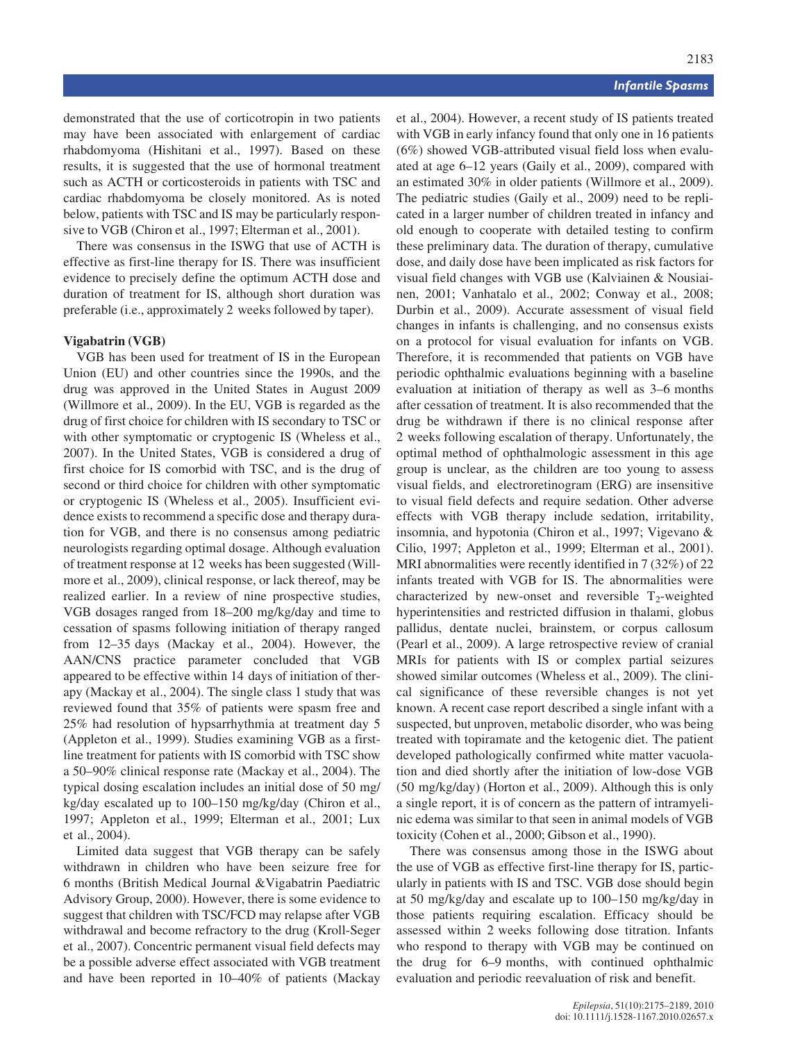demonstrated that the use of corticotropin in two patients may have been associated with enlargement of cardiac rhabdomyoma (Hishitani et al., 1997). Based on these results, it is suggested that the use of hormonal treatment such as ACTH or corticosteroids in patients with TSC and cardiac rhabdomyoma be closely monitored. As is noted below, patients with TSC and IS may be particularly responsive to VGB (Chiron et al., 1997; Elterman et al., 2001).

There was consensus in the ISWG that use of ACTH is effective as first-line therapy for IS. There was insufficient evidence to precisely define the optimum ACTH dose and duration of treatment for IS, although short duration was preferable (i.e., approximately 2 weeks followed by taper).

#### Vigabatrin (VGB)

VGB has been used for treatment of IS in the European Union (EU) and other countries since the 1990s, and the drug was approved in the United States in August 2009 (Willmore et al., 2009). In the EU, VGB is regarded as the drug of first choice for children with IS secondary to TSC or with other symptomatic or cryptogenic IS (Wheless et al., 2007). In the United States, VGB is considered a drug of first choice for IS comorbid with TSC, and is the drug of second or third choice for children with other symptomatic or cryptogenic IS (Wheless et al., 2005). Insufficient evidence exists to recommend a specific dose and therapy duration for VGB, and there is no consensus among pediatric neurologists regarding optimal dosage. Although evaluation of treatment response at 12 weeks has been suggested (Willmore et al., 2009), clinical response, or lack thereof, may be realized earlier. In a review of nine prospective studies, VGB dosages ranged from 18–200 mg/kg/day and time to cessation of spasms following initiation of therapy ranged from 12–35 days (Mackay et al., 2004). However, the AAN/CNS practice parameter concluded that VGB appeared to be effective within 14 days of initiation of therapy (Mackay et al., 2004). The single class 1 study that was reviewed found that 35% of patients were spasm free and 25% had resolution of hypsarrhythmia at treatment day 5 (Appleton et al., 1999). Studies examining VGB as a firstline treatment for patients with IS comorbid with TSC show a 50–90% clinical response rate (Mackay et al., 2004). The typical dosing escalation includes an initial dose of 50 mg/ kg/day escalated up to 100–150 mg/kg/day (Chiron et al., 1997; Appleton et al., 1999; Elterman et al., 2001; Lux et al., 2004).

Limited data suggest that VGB therapy can be safely withdrawn in children who have been seizure free for 6 months (British Medical Journal &Vigabatrin Paediatric Advisory Group, 2000). However, there is some evidence to suggest that children with TSC/FCD may relapse after VGB withdrawal and become refractory to the drug (Kroll-Seger et al., 2007). Concentric permanent visual field defects may be a possible adverse effect associated with VGB treatment and have been reported in 10–40% of patients (Mackay

et al., 2004). However, a recent study of IS patients treated with VGB in early infancy found that only one in 16 patients (6%) showed VGB-attributed visual field loss when evaluated at age 6–12 years (Gaily et al., 2009), compared with an estimated 30% in older patients (Willmore et al., 2009). The pediatric studies (Gaily et al., 2009) need to be replicated in a larger number of children treated in infancy and old enough to cooperate with detailed testing to confirm these preliminary data. The duration of therapy, cumulative dose, and daily dose have been implicated as risk factors for visual field changes with VGB use (Kalviainen & Nousiainen, 2001; Vanhatalo et al., 2002; Conway et al., 2008; Durbin et al., 2009). Accurate assessment of visual field changes in infants is challenging, and no consensus exists on a protocol for visual evaluation for infants on VGB. Therefore, it is recommended that patients on VGB have periodic ophthalmic evaluations beginning with a baseline evaluation at initiation of therapy as well as 3–6 months after cessation of treatment. It is also recommended that the drug be withdrawn if there is no clinical response after 2 weeks following escalation of therapy. Unfortunately, the optimal method of ophthalmologic assessment in this age group is unclear, as the children are too young to assess visual fields, and electroretinogram (ERG) are insensitive to visual field defects and require sedation. Other adverse effects with VGB therapy include sedation, irritability, insomnia, and hypotonia (Chiron et al., 1997; Vigevano & Cilio, 1997; Appleton et al., 1999; Elterman et al., 2001). MRI abnormalities were recently identified in 7 (32%) of 22 infants treated with VGB for IS. The abnormalities were characterized by new-onset and reversible  $T_2$ -weighted hyperintensities and restricted diffusion in thalami, globus pallidus, dentate nuclei, brainstem, or corpus callosum (Pearl et al., 2009). A large retrospective review of cranial MRIs for patients with IS or complex partial seizures showed similar outcomes (Wheless et al., 2009). The clinical significance of these reversible changes is not yet known. A recent case report described a single infant with a suspected, but unproven, metabolic disorder, who was being treated with topiramate and the ketogenic diet. The patient developed pathologically confirmed white matter vacuolation and died shortly after the initiation of low-dose VGB (50 mg/kg/day) (Horton et al., 2009). Although this is only a single report, it is of concern as the pattern of intramyelinic edema was similar to that seen in animal models of VGB toxicity (Cohen et al., 2000; Gibson et al., 1990).

There was consensus among those in the ISWG about the use of VGB as effective first-line therapy for IS, particularly in patients with IS and TSC. VGB dose should begin at 50 mg/kg/day and escalate up to 100–150 mg/kg/day in those patients requiring escalation. Efficacy should be assessed within 2 weeks following dose titration. Infants who respond to therapy with VGB may be continued on the drug for 6–9 months, with continued ophthalmic evaluation and periodic reevaluation of risk and benefit.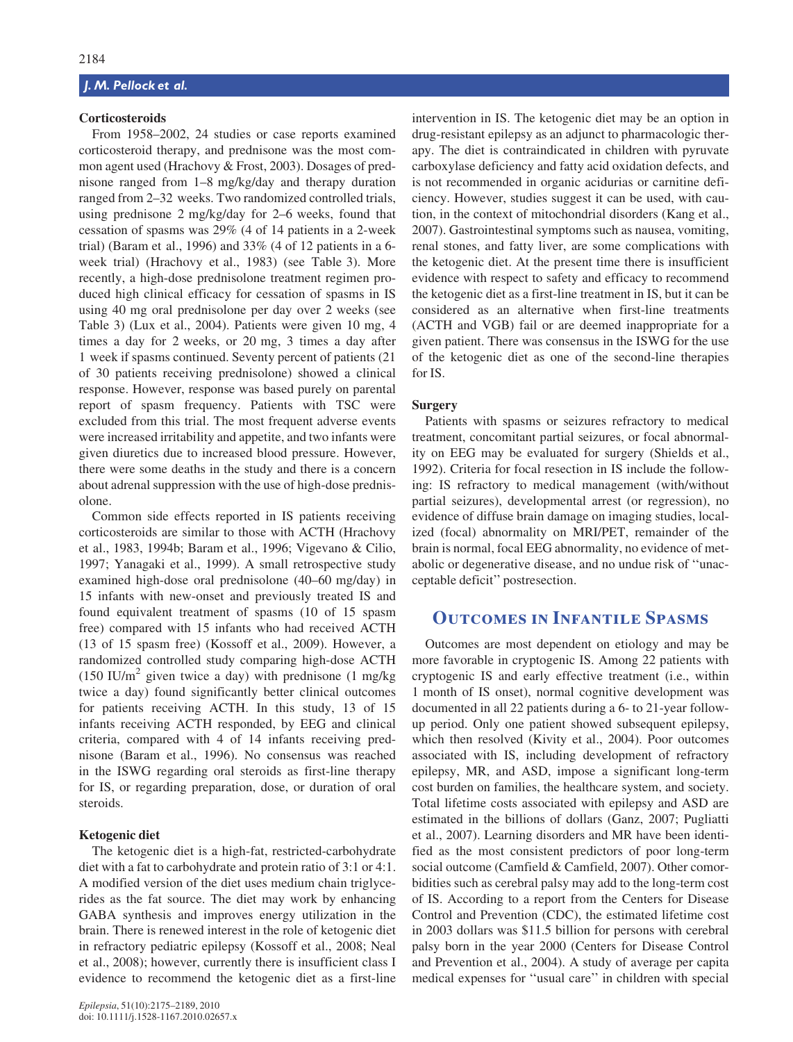#### **Corticosteroids**

From 1958–2002, 24 studies or case reports examined corticosteroid therapy, and prednisone was the most common agent used (Hrachovy & Frost, 2003). Dosages of prednisone ranged from 1–8 mg/kg/day and therapy duration ranged from 2–32 weeks. Two randomized controlled trials, using prednisone 2 mg/kg/day for 2–6 weeks, found that cessation of spasms was 29% (4 of 14 patients in a 2-week trial) (Baram et al., 1996) and 33% (4 of 12 patients in a 6 week trial) (Hrachovy et al., 1983) (see Table 3). More recently, a high-dose prednisolone treatment regimen produced high clinical efficacy for cessation of spasms in IS using 40 mg oral prednisolone per day over 2 weeks (see Table 3) (Lux et al., 2004). Patients were given 10 mg, 4 times a day for 2 weeks, or 20 mg, 3 times a day after 1 week if spasms continued. Seventy percent of patients (21 of 30 patients receiving prednisolone) showed a clinical response. However, response was based purely on parental report of spasm frequency. Patients with TSC were excluded from this trial. The most frequent adverse events were increased irritability and appetite, and two infants were given diuretics due to increased blood pressure. However, there were some deaths in the study and there is a concern about adrenal suppression with the use of high-dose prednisolone.

Common side effects reported in IS patients receiving corticosteroids are similar to those with ACTH (Hrachovy et al., 1983, 1994b; Baram et al., 1996; Vigevano & Cilio, 1997; Yanagaki et al., 1999). A small retrospective study examined high-dose oral prednisolone (40–60 mg/day) in 15 infants with new-onset and previously treated IS and found equivalent treatment of spasms (10 of 15 spasm free) compared with 15 infants who had received ACTH (13 of 15 spasm free) (Kossoff et al., 2009). However, a randomized controlled study comparing high-dose ACTH (150 IU/m<sup>2</sup> given twice a day) with prednisone (1 mg/kg) twice a day) found significantly better clinical outcomes for patients receiving ACTH. In this study, 13 of 15 infants receiving ACTH responded, by EEG and clinical criteria, compared with 4 of 14 infants receiving prednisone (Baram et al., 1996). No consensus was reached in the ISWG regarding oral steroids as first-line therapy for IS, or regarding preparation, dose, or duration of oral steroids.

#### Ketogenic diet

The ketogenic diet is a high-fat, restricted-carbohydrate diet with a fat to carbohydrate and protein ratio of 3:1 or 4:1. A modified version of the diet uses medium chain triglycerides as the fat source. The diet may work by enhancing GABA synthesis and improves energy utilization in the brain. There is renewed interest in the role of ketogenic diet in refractory pediatric epilepsy (Kossoff et al., 2008; Neal et al., 2008); however, currently there is insufficient class I evidence to recommend the ketogenic diet as a first-line intervention in IS. The ketogenic diet may be an option in drug-resistant epilepsy as an adjunct to pharmacologic therapy. The diet is contraindicated in children with pyruvate carboxylase deficiency and fatty acid oxidation defects, and is not recommended in organic acidurias or carnitine deficiency. However, studies suggest it can be used, with caution, in the context of mitochondrial disorders (Kang et al., 2007). Gastrointestinal symptoms such as nausea, vomiting, renal stones, and fatty liver, are some complications with the ketogenic diet. At the present time there is insufficient evidence with respect to safety and efficacy to recommend the ketogenic diet as a first-line treatment in IS, but it can be considered as an alternative when first-line treatments (ACTH and VGB) fail or are deemed inappropriate for a given patient. There was consensus in the ISWG for the use of the ketogenic diet as one of the second-line therapies for IS.

#### **Surgery**

Patients with spasms or seizures refractory to medical treatment, concomitant partial seizures, or focal abnormality on EEG may be evaluated for surgery (Shields et al., 1992). Criteria for focal resection in IS include the following: IS refractory to medical management (with/without partial seizures), developmental arrest (or regression), no evidence of diffuse brain damage on imaging studies, localized (focal) abnormality on MRI/PET, remainder of the brain is normal, focal EEG abnormality, no evidence of metabolic or degenerative disease, and no undue risk of ''unacceptable deficit'' postresection.

# Outcomes in Infantile Spasms

Outcomes are most dependent on etiology and may be more favorable in cryptogenic IS. Among 22 patients with cryptogenic IS and early effective treatment (i.e., within 1 month of IS onset), normal cognitive development was documented in all 22 patients during a 6- to 21-year followup period. Only one patient showed subsequent epilepsy, which then resolved (Kivity et al., 2004). Poor outcomes associated with IS, including development of refractory epilepsy, MR, and ASD, impose a significant long-term cost burden on families, the healthcare system, and society. Total lifetime costs associated with epilepsy and ASD are estimated in the billions of dollars (Ganz, 2007; Pugliatti et al., 2007). Learning disorders and MR have been identified as the most consistent predictors of poor long-term social outcome (Camfield & Camfield, 2007). Other comorbidities such as cerebral palsy may add to the long-term cost of IS. According to a report from the Centers for Disease Control and Prevention (CDC), the estimated lifetime cost in 2003 dollars was \$11.5 billion for persons with cerebral palsy born in the year 2000 (Centers for Disease Control and Prevention et al., 2004). A study of average per capita medical expenses for ''usual care'' in children with special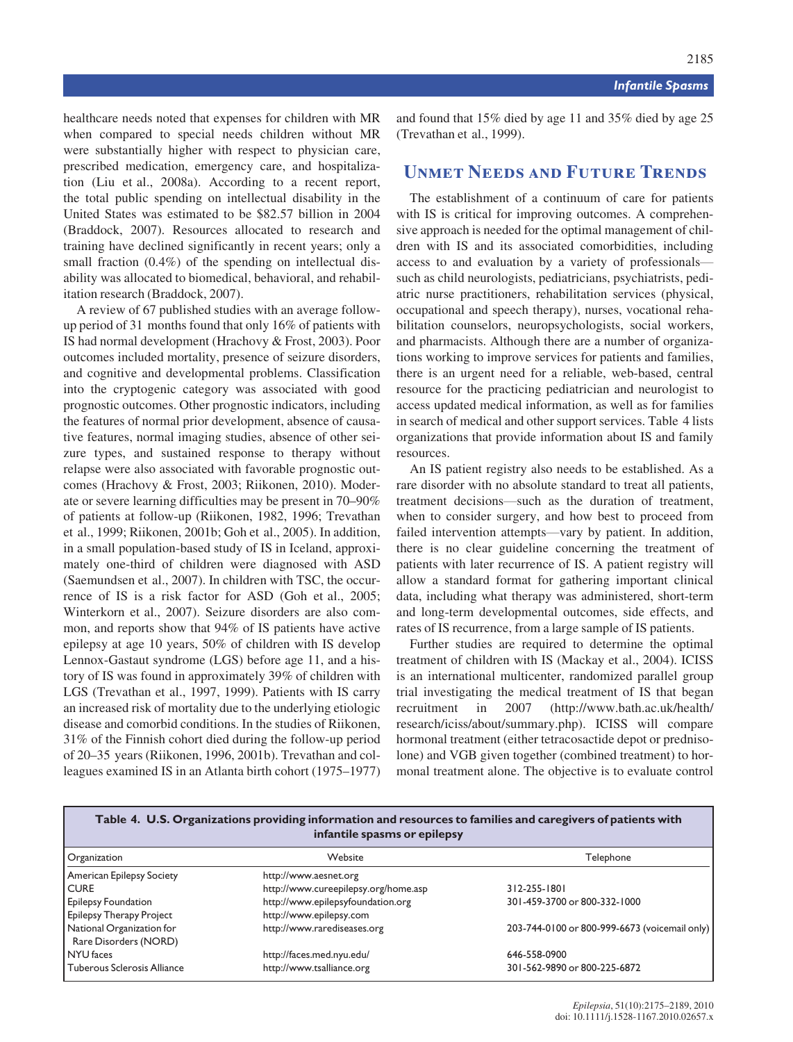2185

healthcare needs noted that expenses for children with MR when compared to special needs children without MR were substantially higher with respect to physician care, prescribed medication, emergency care, and hospitalization (Liu et al., 2008a). According to a recent report, the total public spending on intellectual disability in the United States was estimated to be \$82.57 billion in 2004 (Braddock, 2007). Resources allocated to research and training have declined significantly in recent years; only a small fraction  $(0.4\%)$  of the spending on intellectual disability was allocated to biomedical, behavioral, and rehabilitation research (Braddock, 2007).

A review of 67 published studies with an average followup period of 31 months found that only 16% of patients with IS had normal development (Hrachovy & Frost, 2003). Poor outcomes included mortality, presence of seizure disorders, and cognitive and developmental problems. Classification into the cryptogenic category was associated with good prognostic outcomes. Other prognostic indicators, including the features of normal prior development, absence of causative features, normal imaging studies, absence of other seizure types, and sustained response to therapy without relapse were also associated with favorable prognostic outcomes (Hrachovy & Frost, 2003; Riikonen, 2010). Moderate or severe learning difficulties may be present in 70–90% of patients at follow-up (Riikonen, 1982, 1996; Trevathan et al., 1999; Riikonen, 2001b; Goh et al., 2005). In addition, in a small population-based study of IS in Iceland, approximately one-third of children were diagnosed with ASD (Saemundsen et al., 2007). In children with TSC, the occurrence of IS is a risk factor for ASD (Goh et al., 2005; Winterkorn et al., 2007). Seizure disorders are also common, and reports show that 94% of IS patients have active epilepsy at age 10 years, 50% of children with IS develop Lennox-Gastaut syndrome (LGS) before age 11, and a history of IS was found in approximately 39% of children with LGS (Trevathan et al., 1997, 1999). Patients with IS carry an increased risk of mortality due to the underlying etiologic disease and comorbid conditions. In the studies of Riikonen, 31% of the Finnish cohort died during the follow-up period of 20–35 years (Riikonen, 1996, 2001b). Trevathan and colleagues examined IS in an Atlanta birth cohort (1975–1977) and found that 15% died by age 11 and 35% died by age 25 (Trevathan et al., 1999).

# Unmet Needs and Future Trends

The establishment of a continuum of care for patients with IS is critical for improving outcomes. A comprehensive approach is needed for the optimal management of children with IS and its associated comorbidities, including access to and evaluation by a variety of professionals such as child neurologists, pediatricians, psychiatrists, pediatric nurse practitioners, rehabilitation services (physical, occupational and speech therapy), nurses, vocational rehabilitation counselors, neuropsychologists, social workers, and pharmacists. Although there are a number of organizations working to improve services for patients and families, there is an urgent need for a reliable, web-based, central resource for the practicing pediatrician and neurologist to access updated medical information, as well as for families in search of medical and other support services. Table 4 lists organizations that provide information about IS and family resources.

An IS patient registry also needs to be established. As a rare disorder with no absolute standard to treat all patients, treatment decisions—such as the duration of treatment, when to consider surgery, and how best to proceed from failed intervention attempts—vary by patient. In addition, there is no clear guideline concerning the treatment of patients with later recurrence of IS. A patient registry will allow a standard format for gathering important clinical data, including what therapy was administered, short-term and long-term developmental outcomes, side effects, and rates of IS recurrence, from a large sample of IS patients.

Further studies are required to determine the optimal treatment of children with IS (Mackay et al., 2004). ICISS is an international multicenter, randomized parallel group trial investigating the medical treatment of IS that began recruitment in 2007 (http://www.bath.ac.uk/health/ research/iciss/about/summary.php). ICISS will compare hormonal treatment (either tetracosactide depot or prednisolone) and VGB given together (combined treatment) to hormonal treatment alone. The objective is to evaluate control

| Table 4. U.S. Organizations providing information and resources to families and caregivers of patients with<br>infantile spasms or epilepsy |                                      |                                               |  |  |  |
|---------------------------------------------------------------------------------------------------------------------------------------------|--------------------------------------|-----------------------------------------------|--|--|--|
| Organization                                                                                                                                | Website                              | Telephone                                     |  |  |  |
| <b>American Epilepsy Society</b>                                                                                                            | http://www.aesnet.org                |                                               |  |  |  |
| <b>CURE</b>                                                                                                                                 | http://www.cureepilepsy.org/home.asp | 312-255-1801                                  |  |  |  |
| <b>Epilepsy Foundation</b>                                                                                                                  | http://www.epilepsyfoundation.org    | 301-459-3700 or 800-332-1000                  |  |  |  |
| <b>Epilepsy Therapy Project</b>                                                                                                             | http://www.epilepsy.com              |                                               |  |  |  |
| National Organization for                                                                                                                   | http://www.rarediseases.org          | 203-744-0100 or 800-999-6673 (voicemail only) |  |  |  |
| Rare Disorders (NORD)                                                                                                                       |                                      |                                               |  |  |  |
| NYU faces                                                                                                                                   | http://faces.med.nyu.edu/            | 646-558-0900                                  |  |  |  |
| Tuberous Sclerosis Alliance                                                                                                                 | http://www.tsalliance.org            | 301-562-9890 or 800-225-6872                  |  |  |  |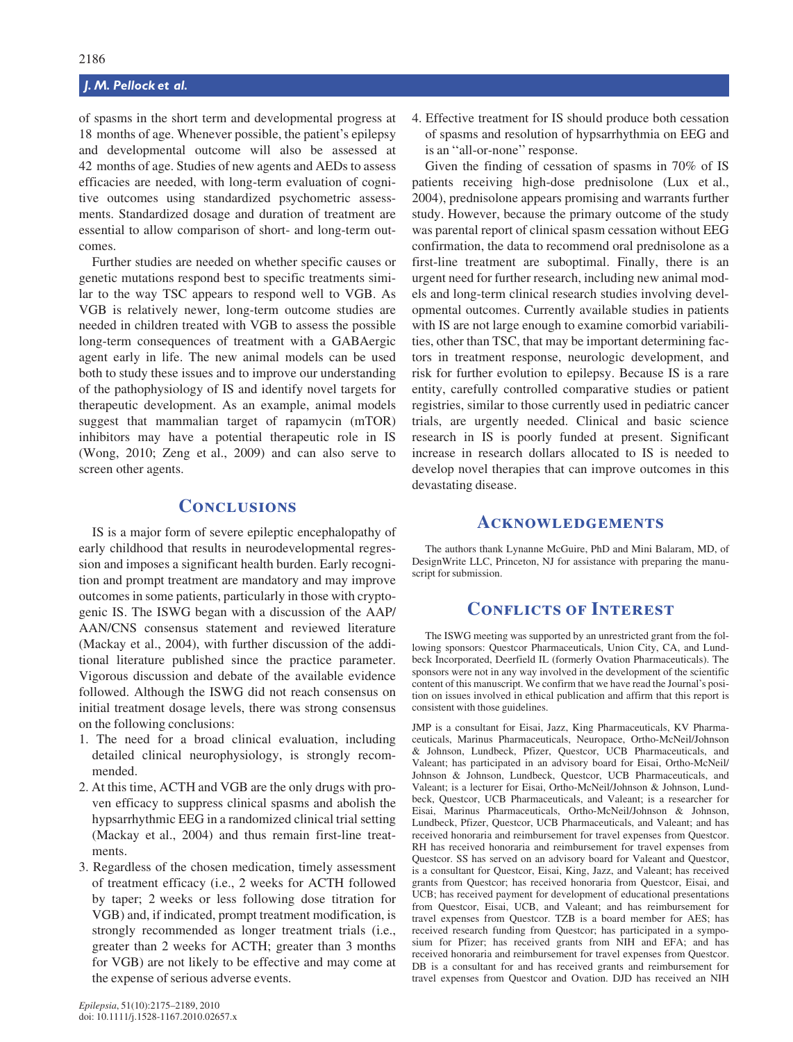of spasms in the short term and developmental progress at 18 months of age. Whenever possible, the patient's epilepsy and developmental outcome will also be assessed at 42 months of age. Studies of new agents and AEDs to assess efficacies are needed, with long-term evaluation of cognitive outcomes using standardized psychometric assessments. Standardized dosage and duration of treatment are essential to allow comparison of short- and long-term outcomes.

Further studies are needed on whether specific causes or genetic mutations respond best to specific treatments similar to the way TSC appears to respond well to VGB. As VGB is relatively newer, long-term outcome studies are needed in children treated with VGB to assess the possible long-term consequences of treatment with a GABAergic agent early in life. The new animal models can be used both to study these issues and to improve our understanding of the pathophysiology of IS and identify novel targets for therapeutic development. As an example, animal models suggest that mammalian target of rapamycin (mTOR) inhibitors may have a potential therapeutic role in IS (Wong, 2010; Zeng et al., 2009) and can also serve to screen other agents.

## **CONCLUSIONS**

IS is a major form of severe epileptic encephalopathy of early childhood that results in neurodevelopmental regression and imposes a significant health burden. Early recognition and prompt treatment are mandatory and may improve outcomes in some patients, particularly in those with cryptogenic IS. The ISWG began with a discussion of the AAP/ AAN/CNS consensus statement and reviewed literature (Mackay et al., 2004), with further discussion of the additional literature published since the practice parameter. Vigorous discussion and debate of the available evidence followed. Although the ISWG did not reach consensus on initial treatment dosage levels, there was strong consensus on the following conclusions:

- 1. The need for a broad clinical evaluation, including detailed clinical neurophysiology, is strongly recommended.
- 2. At this time, ACTH and VGB are the only drugs with proven efficacy to suppress clinical spasms and abolish the hypsarrhythmic EEG in a randomized clinical trial setting (Mackay et al., 2004) and thus remain first-line treatments.
- 3. Regardless of the chosen medication, timely assessment of treatment efficacy (i.e., 2 weeks for ACTH followed by taper; 2 weeks or less following dose titration for VGB) and, if indicated, prompt treatment modification, is strongly recommended as longer treatment trials (i.e., greater than 2 weeks for ACTH; greater than 3 months for VGB) are not likely to be effective and may come at the expense of serious adverse events.

Given the finding of cessation of spasms in 70% of IS patients receiving high-dose prednisolone (Lux et al., 2004), prednisolone appears promising and warrants further study. However, because the primary outcome of the study was parental report of clinical spasm cessation without EEG confirmation, the data to recommend oral prednisolone as a first-line treatment are suboptimal. Finally, there is an urgent need for further research, including new animal models and long-term clinical research studies involving developmental outcomes. Currently available studies in patients with IS are not large enough to examine comorbid variabilities, other than TSC, that may be important determining factors in treatment response, neurologic development, and risk for further evolution to epilepsy. Because IS is a rare entity, carefully controlled comparative studies or patient registries, similar to those currently used in pediatric cancer trials, are urgently needed. Clinical and basic science research in IS is poorly funded at present. Significant increase in research dollars allocated to IS is needed to develop novel therapies that can improve outcomes in this devastating disease.

#### **ACKNOWLEDGEMENTS**

The authors thank Lynanne McGuire, PhD and Mini Balaram, MD, of DesignWrite LLC, Princeton, NJ for assistance with preparing the manuscript for submission.

# CONFLICTS OF INTEREST

The ISWG meeting was supported by an unrestricted grant from the following sponsors: Questcor Pharmaceuticals, Union City, CA, and Lundbeck Incorporated, Deerfield IL (formerly Ovation Pharmaceuticals). The sponsors were not in any way involved in the development of the scientific content of this manuscript. We confirm that we have read the Journal's position on issues involved in ethical publication and affirm that this report is consistent with those guidelines.

JMP is a consultant for Eisai, Jazz, King Pharmaceuticals, KV Pharmaceuticals, Marinus Pharmaceuticals, Neuropace, Ortho-McNeil/Johnson & Johnson, Lundbeck, Pfizer, Questcor, UCB Pharmaceuticals, and Valeant; has participated in an advisory board for Eisai, Ortho-McNeil/ Johnson & Johnson, Lundbeck, Questcor, UCB Pharmaceuticals, and Valeant; is a lecturer for Eisai, Ortho-McNeil/Johnson & Johnson, Lundbeck, Questcor, UCB Pharmaceuticals, and Valeant; is a researcher for Eisai, Marinus Pharmaceuticals, Ortho-McNeil/Johnson & Johnson, Lundbeck, Pfizer, Questcor, UCB Pharmaceuticals, and Valeant; and has received honoraria and reimbursement for travel expenses from Questcor. RH has received honoraria and reimbursement for travel expenses from Questcor. SS has served on an advisory board for Valeant and Questcor, is a consultant for Questcor, Eisai, King, Jazz, and Valeant; has received grants from Questcor; has received honoraria from Questcor, Eisai, and UCB; has received payment for development of educational presentations from Questcor, Eisai, UCB, and Valeant; and has reimbursement for travel expenses from Questcor. TZB is a board member for AES; has received research funding from Questcor; has participated in a symposium for Pfizer; has received grants from NIH and EFA; and has received honoraria and reimbursement for travel expenses from Questcor. DB is a consultant for and has received grants and reimbursement for travel expenses from Questcor and Ovation. DJD has received an NIH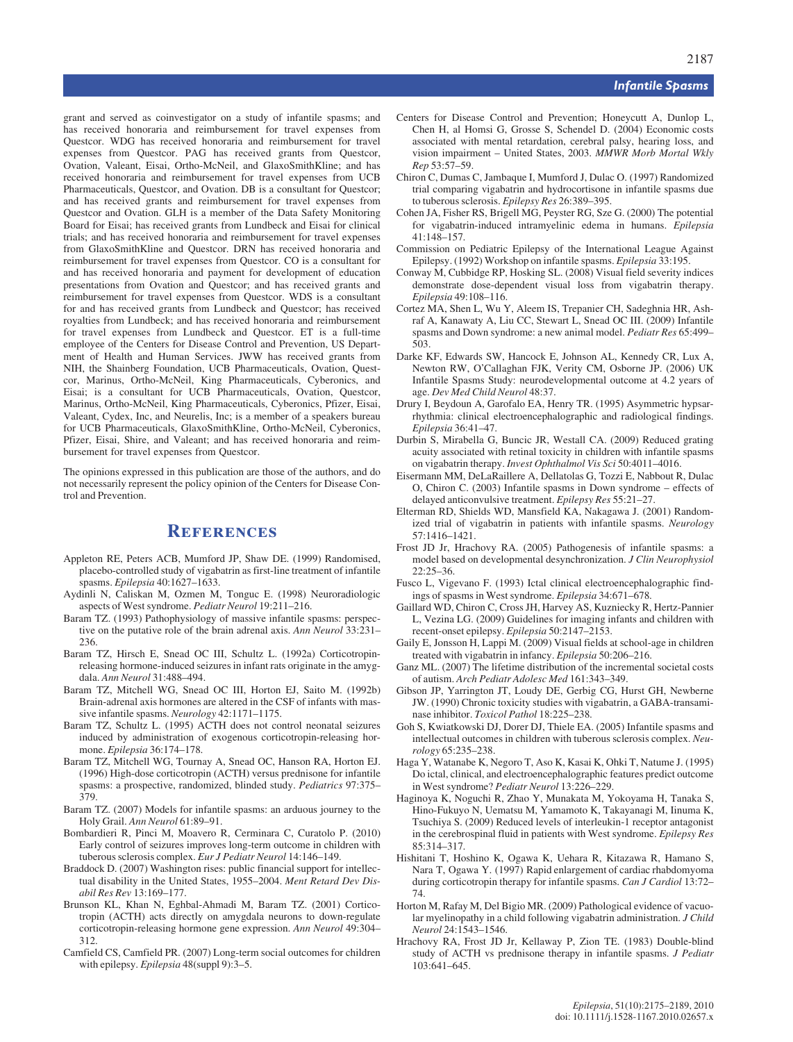grant and served as coinvestigator on a study of infantile spasms; and has received honoraria and reimbursement for travel expenses from Questcor. WDG has received honoraria and reimbursement for travel expenses from Questcor. PAG has received grants from Questcor, Ovation, Valeant, Eisai, Ortho-McNeil, and GlaxoSmithKline; and has received honoraria and reimbursement for travel expenses from UCB Pharmaceuticals, Questcor, and Ovation. DB is a consultant for Questcor; and has received grants and reimbursement for travel expenses from Questcor and Ovation. GLH is a member of the Data Safety Monitoring Board for Eisai; has received grants from Lundbeck and Eisai for clinical trials; and has received honoraria and reimbursement for travel expenses from GlaxoSmithKline and Questcor. DRN has received honoraria and reimbursement for travel expenses from Questcor. CO is a consultant for and has received honoraria and payment for development of education presentations from Ovation and Questcor; and has received grants and reimbursement for travel expenses from Questcor. WDS is a consultant for and has received grants from Lundbeck and Questcor; has received royalties from Lundbeck; and has received honoraria and reimbursement for travel expenses from Lundbeck and Questcor. ET is a full-time employee of the Centers for Disease Control and Prevention, US Department of Health and Human Services. JWW has received grants from NIH, the Shainberg Foundation, UCB Pharmaceuticals, Ovation, Questcor, Marinus, Ortho-McNeil, King Pharmaceuticals, Cyberonics, and Eisai; is a consultant for UCB Pharmaceuticals, Ovation, Questcor, Marinus, Ortho-McNeil, King Pharmaceuticals, Cyberonics, Pfizer, Eisai, Valeant, Cydex, Inc, and Neurelis, Inc; is a member of a speakers bureau for UCB Pharmaceuticals, GlaxoSmithKline, Ortho-McNeil, Cyberonics, Pfizer, Eisai, Shire, and Valeant; and has received honoraria and reimbursement for travel expenses from Questcor.

The opinions expressed in this publication are those of the authors, and do not necessarily represent the policy opinion of the Centers for Disease Control and Prevention.

# **REFERENCES**

- Appleton RE, Peters ACB, Mumford JP, Shaw DE. (1999) Randomised, placebo-controlled study of vigabatrin as first-line treatment of infantile spasms. Epilepsia 40:1627–1633.
- Aydinli N, Caliskan M, Ozmen M, Tonguc E. (1998) Neuroradiologic aspects of West syndrome. Pediatr Neurol 19:211–216.
- Baram TZ. (1993) Pathophysiology of massive infantile spasms: perspective on the putative role of the brain adrenal axis. Ann Neurol 33:231– 236.
- Baram TZ, Hirsch E, Snead OC III, Schultz L. (1992a) Corticotropinreleasing hormone-induced seizures in infant rats originate in the amygdala. Ann Neurol 31:488–494.
- Baram TZ, Mitchell WG, Snead OC III, Horton EJ, Saito M. (1992b) Brain-adrenal axis hormones are altered in the CSF of infants with massive infantile spasms. Neurology 42:1171–1175.
- Baram TZ, Schultz L. (1995) ACTH does not control neonatal seizures induced by administration of exogenous corticotropin-releasing hormone. Epilepsia 36:174–178.
- Baram TZ, Mitchell WG, Tournay A, Snead OC, Hanson RA, Horton EJ. (1996) High-dose corticotropin (ACTH) versus prednisone for infantile spasms: a prospective, randomized, blinded study. Pediatrics 97:375– 379.
- Baram TZ. (2007) Models for infantile spasms: an arduous journey to the Holy Grail. Ann Neurol 61:89–91.
- Bombardieri R, Pinci M, Moavero R, Cerminara C, Curatolo P. (2010) Early control of seizures improves long-term outcome in children with tuberous sclerosis complex. Eur J Pediatr Neurol 14:146–149.
- Braddock D. (2007) Washington rises: public financial support for intellectual disability in the United States, 1955–2004. Ment Retard Dev Disabil Res Rev 13:169–177.
- Brunson KL, Khan N, Eghbal-Ahmadi M, Baram TZ. (2001) Corticotropin (ACTH) acts directly on amygdala neurons to down-regulate corticotropin-releasing hormone gene expression. Ann Neurol 49:304– 312.
- Camfield CS, Camfield PR. (2007) Long-term social outcomes for children with epilepsy. Epilepsia 48(suppl 9):3-5.
- Centers for Disease Control and Prevention; Honeycutt A, Dunlop L, Chen H, al Homsi G, Grosse S, Schendel D. (2004) Economic costs associated with mental retardation, cerebral palsy, hearing loss, and vision impairment – United States, 2003. MMWR Morb Mortal Wkly Rep 53:57–59.
- Chiron C, Dumas C, Jambaque I, Mumford J, Dulac O. (1997) Randomized trial comparing vigabatrin and hydrocortisone in infantile spasms due to tuberous sclerosis. Epilepsy Res 26:389–395.
- Cohen JA, Fisher RS, Brigell MG, Peyster RG, Sze G. (2000) The potential for vigabatrin-induced intramyelinic edema in humans. Epilepsia  $41.148 - 157$
- Commission on Pediatric Epilepsy of the International League Against Epilepsy. (1992) Workshop on infantile spasms. Epilepsia 33:195.
- Conway M, Cubbidge RP, Hosking SL. (2008) Visual field severity indices demonstrate dose-dependent visual loss from vigabatrin therapy. Epilepsia 49:108–116.
- Cortez MA, Shen L, Wu Y, Aleem IS, Trepanier CH, Sadeghnia HR, Ashraf A, Kanawaty A, Liu CC, Stewart L, Snead OC III. (2009) Infantile spasms and Down syndrome: a new animal model. Pediatr Res 65:499– 503.
- Darke KF, Edwards SW, Hancock E, Johnson AL, Kennedy CR, Lux A, Newton RW, O'Callaghan FJK, Verity CM, Osborne JP. (2006) UK Infantile Spasms Study: neurodevelopmental outcome at 4.2 years of age. Dev Med Child Neurol 48:37.
- Drury I, Beydoun A, Garofalo EA, Henry TR. (1995) Asymmetric hypsarrhythmia: clinical electroencephalographic and radiological findings. Epilepsia 36:41–47.
- Durbin S, Mirabella G, Buncic JR, Westall CA. (2009) Reduced grating acuity associated with retinal toxicity in children with infantile spasms on vigabatrin therapy. Invest Ophthalmol Vis Sci 50:4011–4016.
- Eisermann MM, DeLaRaillere A, Dellatolas G, Tozzi E, Nabbout R, Dulac O, Chiron C. (2003) Infantile spasms in Down syndrome – effects of delayed anticonvulsive treatment. Epilepsy Res 55:21-27.
- Elterman RD, Shields WD, Mansfield KA, Nakagawa J. (2001) Randomized trial of vigabatrin in patients with infantile spasms. Neurology 57:1416–1421.
- Frost JD Jr, Hrachovy RA. (2005) Pathogenesis of infantile spasms: a model based on developmental desynchronization. J Clin Neurophysiol  $22:25-36$ .
- Fusco L, Vigevano F. (1993) Ictal clinical electroencephalographic findings of spasms in West syndrome. Epilepsia 34:671–678.
- Gaillard WD, Chiron C, Cross JH, Harvey AS, Kuzniecky R, Hertz-Pannier L, Vezina LG. (2009) Guidelines for imaging infants and children with recent-onset epilepsy. Epilepsia 50:2147–2153.
- Gaily E, Jonsson H, Lappi M. (2009) Visual fields at school-age in children treated with vigabatrin in infancy. Epilepsia 50:206–216.
- Ganz ML. (2007) The lifetime distribution of the incremental societal costs of autism. Arch Pediatr Adolesc Med 161:343–349.
- Gibson JP, Yarrington JT, Loudy DE, Gerbig CG, Hurst GH, Newberne JW. (1990) Chronic toxicity studies with vigabatrin, a GABA-transaminase inhibitor. Toxicol Pathol 18:225–238.
- Goh S, Kwiatkowski DJ, Dorer DJ, Thiele EA. (2005) Infantile spasms and intellectual outcomes in children with tuberous sclerosis complex. Neurology 65:235–238.
- Haga Y, Watanabe K, Negoro T, Aso K, Kasai K, Ohki T, Natume J. (1995) Do ictal, clinical, and electroencephalographic features predict outcome in West syndrome? Pediatr Neurol 13:226–229.
- Haginoya K, Noguchi R, Zhao Y, Munakata M, Yokoyama H, Tanaka S, Hino-Fukuyo N, Uematsu M, Yamamoto K, Takayanagi M, Iinuma K, Tsuchiya S. (2009) Reduced levels of interleukin-1 receptor antagonist in the cerebrospinal fluid in patients with West syndrome. Epilepsy Res 85:314–317.
- Hishitani T, Hoshino K, Ogawa K, Uehara R, Kitazawa R, Hamano S, Nara T, Ogawa Y. (1997) Rapid enlargement of cardiac rhabdomyoma during corticotropin therapy for infantile spasms. Can J Cardiol 13:72-74.
- Horton M, Rafay M, Del Bigio MR. (2009) Pathological evidence of vacuolar myelinopathy in a child following vigabatrin administration. J Child Neurol 24:1543–1546.
- Hrachovy RA, Frost JD Jr, Kellaway P, Zion TE. (1983) Double-blind study of ACTH vs prednisone therapy in infantile spasms. J Pediatr 103:641–645.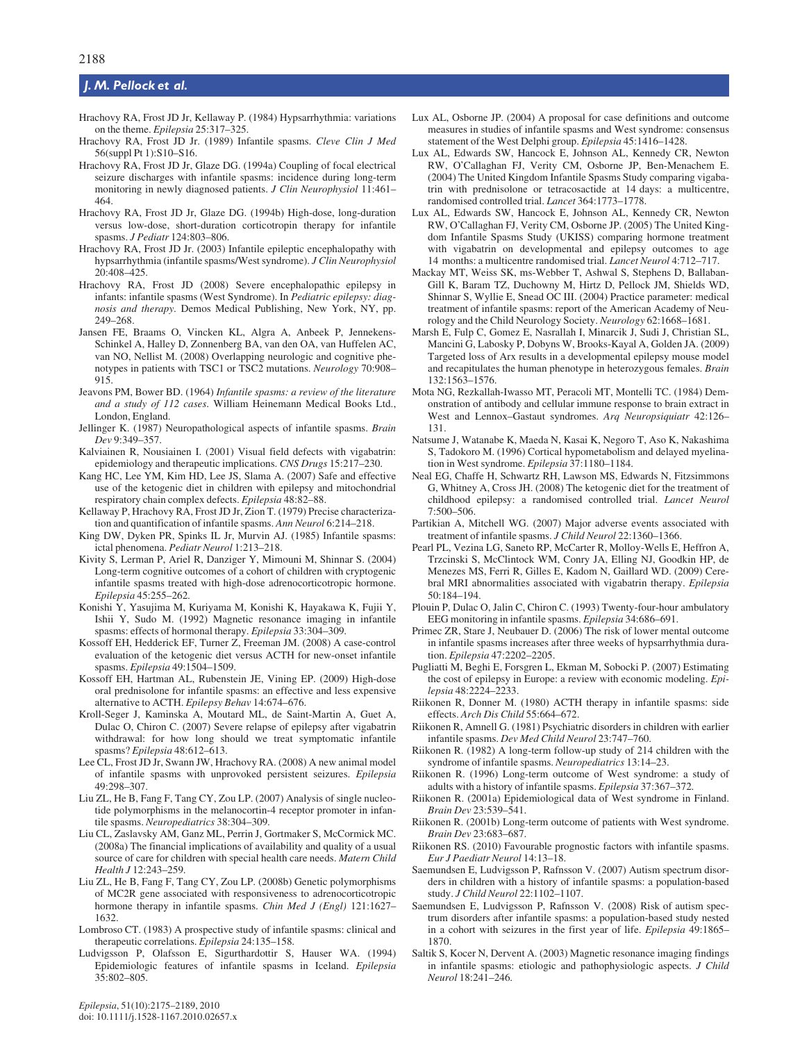- Hrachovy RA, Frost JD Jr, Kellaway P. (1984) Hypsarrhythmia: variations on the theme. Epilepsia 25:317–325.
- Hrachovy RA, Frost JD Jr. (1989) Infantile spasms. Cleve Clin J Med 56(suppl Pt 1):S10–S16.
- Hrachovy RA, Frost JD Jr, Glaze DG. (1994a) Coupling of focal electrical seizure discharges with infantile spasms: incidence during long-term monitoring in newly diagnosed patients. J Clin Neurophysiol 11:461-464.
- Hrachovy RA, Frost JD Jr, Glaze DG. (1994b) High-dose, long-duration versus low-dose, short-duration corticotropin therapy for infantile spasms. J Pediatr 124:803–806.
- Hrachovy RA, Frost JD Jr. (2003) Infantile epileptic encephalopathy with hypsarrhythmia (infantile spasms/West syndrome). J Clin Neurophysiol 20:408–425.
- Hrachovy RA, Frost JD (2008) Severe encephalopathic epilepsy in infants: infantile spasms (West Syndrome). In Pediatric epilepsy: diagnosis and therapy. Demos Medical Publishing, New York, NY, pp. 249–268.
- Jansen FE, Braams O, Vincken KL, Algra A, Anbeek P, Jennekens-Schinkel A, Halley D, Zonnenberg BA, van den OA, van Huffelen AC, van NO, Nellist M. (2008) Overlapping neurologic and cognitive phenotypes in patients with TSC1 or TSC2 mutations. Neurology 70:908– 915.
- Jeavons PM, Bower BD. (1964) Infantile spasms: a review of the literature and a study of 112 cases. William Heinemann Medical Books Ltd., London, England.
- Jellinger K. (1987) Neuropathological aspects of infantile spasms. Brain Dev 9:349–357.
- Kalviainen R, Nousiainen I. (2001) Visual field defects with vigabatrin: epidemiology and therapeutic implications. CNS Drugs 15:217–230.
- Kang HC, Lee YM, Kim HD, Lee JS, Slama A. (2007) Safe and effective use of the ketogenic diet in children with epilepsy and mitochondrial respiratory chain complex defects. Epilepsia 48:82–88.
- Kellaway P, Hrachovy RA, Frost JD Jr, Zion T. (1979) Precise characterization and quantification of infantile spasms. Ann Neurol 6:214–218.
- King DW, Dyken PR, Spinks IL Jr, Murvin AJ. (1985) Infantile spasms: ictal phenomena. Pediatr Neurol 1:213–218.
- Kivity S, Lerman P, Ariel R, Danziger Y, Mimouni M, Shinnar S. (2004) Long-term cognitive outcomes of a cohort of children with cryptogenic infantile spasms treated with high-dose adrenocorticotropic hormone. Epilepsia 45:255–262.
- Konishi Y, Yasujima M, Kuriyama M, Konishi K, Hayakawa K, Fujii Y, Ishii Y, Sudo M. (1992) Magnetic resonance imaging in infantile spasms: effects of hormonal therapy. Epilepsia 33:304–309.
- Kossoff EH, Hedderick EF, Turner Z, Freeman JM. (2008) A case-control evaluation of the ketogenic diet versus ACTH for new-onset infantile spasms. Epilepsia 49:1504–1509.
- Kossoff EH, Hartman AL, Rubenstein JE, Vining EP. (2009) High-dose oral prednisolone for infantile spasms: an effective and less expensive alternative to ACTH. Epilepsy Behav 14:674–676.
- Kroll-Seger J, Kaminska A, Moutard ML, de Saint-Martin A, Guet A, Dulac O, Chiron C. (2007) Severe relapse of epilepsy after vigabatrin withdrawal: for how long should we treat symptomatic infantile spasms? Epilepsia 48:612–613.
- Lee CL, Frost JD Jr, Swann JW, Hrachovy RA. (2008) A new animal model of infantile spasms with unprovoked persistent seizures. Epilepsia 49:298–307.
- Liu ZL, He B, Fang F, Tang CY, Zou LP. (2007) Analysis of single nucleotide polymorphisms in the melanocortin-4 receptor promoter in infantile spasms. Neuropediatrics 38:304–309.
- Liu CL, Zaslavsky AM, Ganz ML, Perrin J, Gortmaker S, McCormick MC. (2008a) The financial implications of availability and quality of a usual source of care for children with special health care needs. Matern Child Health J 12:243–259.
- Liu ZL, He B, Fang F, Tang CY, Zou LP. (2008b) Genetic polymorphisms of MC2R gene associated with responsiveness to adrenocorticotropic hormone therapy in infantile spasms. Chin Med J (Engl) 121:1627-1632.
- Lombroso CT. (1983) A prospective study of infantile spasms: clinical and therapeutic correlations. Epilepsia 24:135–158.
- Ludvigsson P, Olafsson E, Sigurthardottir S, Hauser WA. (1994) Epidemiologic features of infantile spasms in Iceland. Epilepsia 35:802–805.
- Lux AL, Osborne JP. (2004) A proposal for case definitions and outcome measures in studies of infantile spasms and West syndrome: consensus statement of the West Delphi group. Epilepsia 45:1416–1428.
- Lux AL, Edwards SW, Hancock E, Johnson AL, Kennedy CR, Newton RW, O'Callaghan FJ, Verity CM, Osborne JP, Ben-Menachem E. (2004) The United Kingdom Infantile Spasms Study comparing vigabatrin with prednisolone or tetracosactide at 14 days: a multicentre, randomised controlled trial. Lancet 364:1773–1778.
- Lux AL, Edwards SW, Hancock E, Johnson AL, Kennedy CR, Newton RW, O'Callaghan FJ, Verity CM, Osborne JP. (2005) The United Kingdom Infantile Spasms Study (UKISS) comparing hormone treatment with vigabatrin on developmental and epilepsy outcomes to age 14 months: a multicentre randomised trial. Lancet Neurol 4:712–717.
- Mackay MT, Weiss SK, ms-Webber T, Ashwal S, Stephens D, Ballaban-Gill K, Baram TZ, Duchowny M, Hirtz D, Pellock JM, Shields WD, Shinnar S, Wyllie E, Snead OC III. (2004) Practice parameter: medical treatment of infantile spasms: report of the American Academy of Neurology and the Child Neurology Society. Neurology 62:1668–1681.
- Marsh E, Fulp C, Gomez E, Nasrallah I, Minarcik J, Sudi J, Christian SL, Mancini G, Labosky P, Dobyns W, Brooks-Kayal A, Golden JA. (2009) Targeted loss of Arx results in a developmental epilepsy mouse model and recapitulates the human phenotype in heterozygous females. Brain 132:1563–1576.
- Mota NG, Rezkallah-Iwasso MT, Peracoli MT, Montelli TC. (1984) Demonstration of antibody and cellular immune response to brain extract in West and Lennox–Gastaut syndromes. Arq Neuropsiquiatr 42:126– 131.
- Natsume J, Watanabe K, Maeda N, Kasai K, Negoro T, Aso K, Nakashima S, Tadokoro M. (1996) Cortical hypometabolism and delayed myelination in West syndrome. Epilepsia 37:1180–1184.
- Neal EG, Chaffe H, Schwartz RH, Lawson MS, Edwards N, Fitzsimmons G, Whitney A, Cross JH. (2008) The ketogenic diet for the treatment of childhood epilepsy: a randomised controlled trial. Lancet Neurol 7:500–506.
- Partikian A, Mitchell WG. (2007) Major adverse events associated with treatment of infantile spasms. J Child Neurol 22:1360–1366.
- Pearl PL, Vezina LG, Saneto RP, McCarter R, Molloy-Wells E, Heffron A, Trzcinski S, McClintock WM, Conry JA, Elling NJ, Goodkin HP, de Menezes MS, Ferri R, Gilles E, Kadom N, Gaillard WD. (2009) Cerebral MRI abnormalities associated with vigabatrin therapy. Epilepsia 50:184–194.
- Plouin P, Dulac O, Jalin C, Chiron C. (1993) Twenty-four-hour ambulatory EEG monitoring in infantile spasms. Epilepsia 34:686–691.
- Primec ZR, Stare J, Neubauer D. (2006) The risk of lower mental outcome in infantile spasms increases after three weeks of hypsarrhythmia duration. Epilepsia 47:2202–2205.
- Pugliatti M, Beghi E, Forsgren L, Ekman M, Sobocki P. (2007) Estimating the cost of epilepsy in Europe: a review with economic modeling. Epilepsia 48:2224–2233.
- Riikonen R, Donner M. (1980) ACTH therapy in infantile spasms: side effects. Arch Dis Child 55:664–672.
- Riikonen R, Amnell G. (1981) Psychiatric disorders in children with earlier infantile spasms. Dev Med Child Neurol 23:747–760.
- Riikonen R. (1982) A long-term follow-up study of 214 children with the syndrome of infantile spasms. Neuropediatrics 13:14–23.
- Riikonen R. (1996) Long-term outcome of West syndrome: a study of adults with a history of infantile spasms. Epilepsia 37:367–372.
- Riikonen R. (2001a) Epidemiological data of West syndrome in Finland. Brain Dev 23:539–541.
- Riikonen R. (2001b) Long-term outcome of patients with West syndrome. Brain Dev 23:683–687.
- Riikonen RS. (2010) Favourable prognostic factors with infantile spasms. Eur J Paediatr Neurol 14:13–18.
- Saemundsen E, Ludvigsson P, Rafnsson V. (2007) Autism spectrum disorders in children with a history of infantile spasms: a population-based study. J Child Neurol 22:1102–1107.
- Saemundsen E, Ludvigsson P, Rafnsson V. (2008) Risk of autism spectrum disorders after infantile spasms: a population-based study nested in a cohort with seizures in the first year of life. Epilepsia 49:1865– 1870.
- Saltik S, Kocer N, Dervent A. (2003) Magnetic resonance imaging findings in infantile spasms: etiologic and pathophysiologic aspects. J Child Neurol 18:241–246.